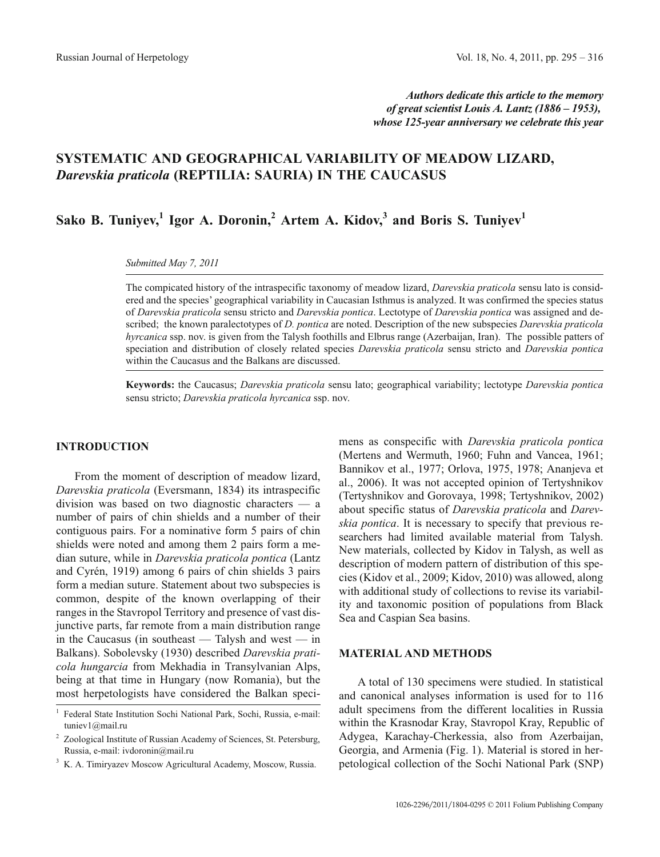*Authors dedicate this article to the memory of great scientist Louis A. Lantz (1886 – 1953), whose 125-year anniversary we celebrate this year*

# **SYSTEMATIC AND GEOGRAPHICAL VARIABILITY OF MEADOW LIZARD,** *Darevskia praticola* **(REPTILIA: SAURIA) IN THE CAUCASUS**

Sako B. Tuniyev,<sup>1</sup> Igor A. Doronin,<sup>2</sup> Artem A. Kidov,<sup>3</sup> and Boris S. Tuniyev<sup>1</sup>

*Submitted May 7, 2011*

The compicated history of the intraspecific taxonomy of meadow lizard, *Darevskia praticola* sensu lato is considered and the species' geographical variability in Caucasian Isthmus is analyzed. It was confirmed the species status of *Darevskia praticola* sensu stricto and *Darevskia pontica*. Lectotype of *Darevskia pontica* was assigned and described; the known paralectotypes of *D. pontica* are noted. Description of the new subspecies *Darevskia praticola hyrcanica* ssp. nov. is given from the Talysh foothills and Elbrus range (Azerbaijan, Iran). The possible patters of speciation and distribution of closely related species *Darevskia praticola* sensu stricto and *Darevskia pontica* within the Caucasus and the Balkans are discussed.

**Keywords:** the Caucasus; *Darevskia praticola* sensu lato; geographical variability; lectotype *Darevskia pontica* sensu stricto; *Darevskia praticola hyrcanica* ssp. nov.

### **INTRODUCTION**

From the moment of description of meadow lizard, *Darevskia praticola* (Eversmann, 1834) its intraspecific division was based on two diagnostic characters — a number of pairs of chin shields and a number of their contiguous pairs. For a nominative form 5 pairs of chin shields were noted and among them 2 pairs form a median suture, while in *Darevskia praticola pontica* (Lantz and Cyrén, 1919) among 6 pairs of chin shields 3 pairs form a median suture. Statement about two subspecies is common, despite of the known overlapping of their ranges in the Stavropol Territory and presence of vast disjunctive parts, far remote from a main distribution range in the Caucasus (in southeast — Talysh and west — in Balkans). Sobolevsky (1930) described *Darevskia praticola hungarcia* from Mekhadia in Transylvanian Alps, being at that time in Hungary (now Romania), but the most herpetologists have considered the Balkan specimens as conspecific with *Darevskia praticola pontica* (Mertens and Wermuth, 1960; Fuhn and Vancea, 1961; Bannikov et al., 1977; Orlova, 1975, 1978; Ananjeva et al., 2006). It was not accepted opinion of Tertyshnikov (Tertyshnikov and Gorovaya, 1998; Tertyshnikov, 2002) about specific status of *Darevskia praticola* and *Darevskia pontica*. It is necessary to specify that previous researchers had limited available material from Talysh. New materials, collected by Kidov in Talysh, as well as description of modern pattern of distribution of this species (Kidov et al., 2009; Kidov, 2010) was allowed, along with additional study of collections to revise its variability and taxonomic position of populations from Black Sea and Caspian Sea basins.

#### **MATERIAL AND METHODS**

A total of 130 specimens were studied. In statistical and canonical analyses information is used for to 116 adult specimens from the different localities in Russia within the Krasnodar Kray, Stavropol Kray, Republic of Adygea, Karachay-Cherkessia, also from Azerbaijan, Georgia, and Armenia (Fig. 1). Material is stored in herpetological collection of the Sochi National Park (SNP)

<sup>1</sup> Federal State Institution Sochi National Park, Sochi, Russia, e-mail: tuniev1@mail.ru

<sup>2</sup> Zoological Institute of Russian Academy of Sciences, St. Petersburg, Russia, e-mail: ivdoronin@mail.ru

<sup>3</sup> K. A. Timiryazev Moscow Agricultural Academy, Moscow, Russia.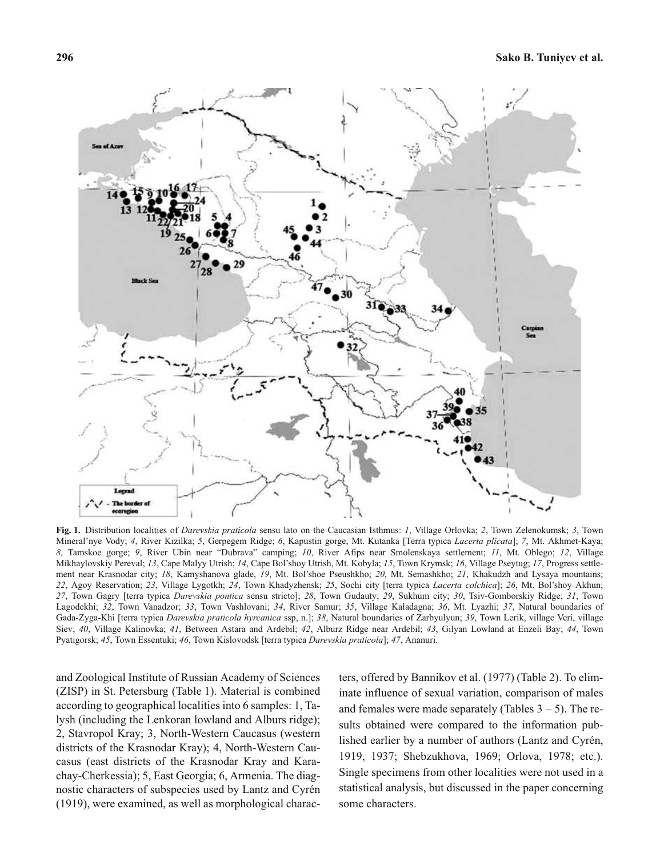

**Fig. 1.** Distribution localities of *Darevskia praticola* sensu lato on the Caucasian Isthmus: *1*, Village Orlovka; *2*, Town Zelenokumsk; *3*, Town Mineral'nye Vody; *4*, River Kizilka; *5*, Gerpegem Ridge; *6*, Kapustin gorge, Mt. Kutanka [Terra typica *Lacerta plicata*]; *7*, Mt. Akhmet-Kaya; *8*, Tamskoe gorge; *9*, River Ubin near "Dubrava" camping; *10*, River Afips near Smolenskaya settlement; *11*, Mt. Oblego; *12*, Village Mikhaylovskiy Pereval; *13*, Cape Malyy Utrish; *14*, Cape Bol'shoy Utrish, Mt. Kobyla; *15*, Town Krymsk; *16*, Village Pseytug; *17*, Progress settlement near Krasnodar city; *18*, Kamyshanova glade, *19*, Mt. Bol'shoe Pseushkho; *20*, Mt. Semashkho; *21*, Khakudzh and Lysaya mountains; *22*, Agoy Reservation; *23*, Village Lygotkh; *24*, Town Khadyzhensk; *25*, Sochi city [terra typica *Lacerta colchica*]; *26*, Mt. Bol'shoy Akhun; *27*, Town Gagry [terra typica *Darevskia pontica* sensu stricto]; *28*, Town Gudauty; *29*, Sukhum city; *30*, Tsiv-Gomborskiy Ridge; *31*, Town Lagodekhi; *32*, Town Vanadzor; *33*, Town Vashlovani; *34*, River Samur; *35*, Village Kaladagna; *36*, Mt. Lyazhi; *37*, Natural boundaries of Gada-Zyga-Khi [terra typica *Darevskia praticola hyrcanica* ssp, n.]; *38*, Natural boundaries of Zarbyulyun; *39*, Town Lerik, village Veri, village Siev; *40*, Village Kalinovka; *41*, Between Astara and Ardebil; *42*, Alburz Ridge near Ardebil; *43*, Gilyan Lowland at Enzeli Bay; *44*, Town Pyatigorsk; *45*, Town Essentuki; *46*, Town Kislovodsk [terra typica *Darevskia praticola*]; *47*, Ananuri.

and Zoological Institute of Russian Academy of Sciences (ZISP) in St. Petersburg (Table 1). Material is combined according to geographical localities into 6 samples: 1, Talysh (including the Lenkoran lowland and Alburs ridge); 2, Stavropol Kray; 3, North-Western Caucasus (western districts of the Krasnodar Kray); 4, North-Western Caucasus (east districts of the Krasnodar Kray and Karachay-Cherkessia); 5, East Georgia; 6, Armenia. The diagnostic characters of subspecies used by Lantz and Cyrén (1919), were examined, as well as morphological characters, offered by Bannikov et al. (1977) (Table 2). To eliminate influence of sexual variation, comparison of males and females were made separately (Tables  $3 - 5$ ). The results obtained were compared to the information published earlier by a number of authors (Lantz and Cyrén, 1919, 1937; Shebzukhova, 1969; Orlova, 1978; etc.). Single specimens from other localities were not used in a statistical analysis, but discussed in the paper concerning some characters.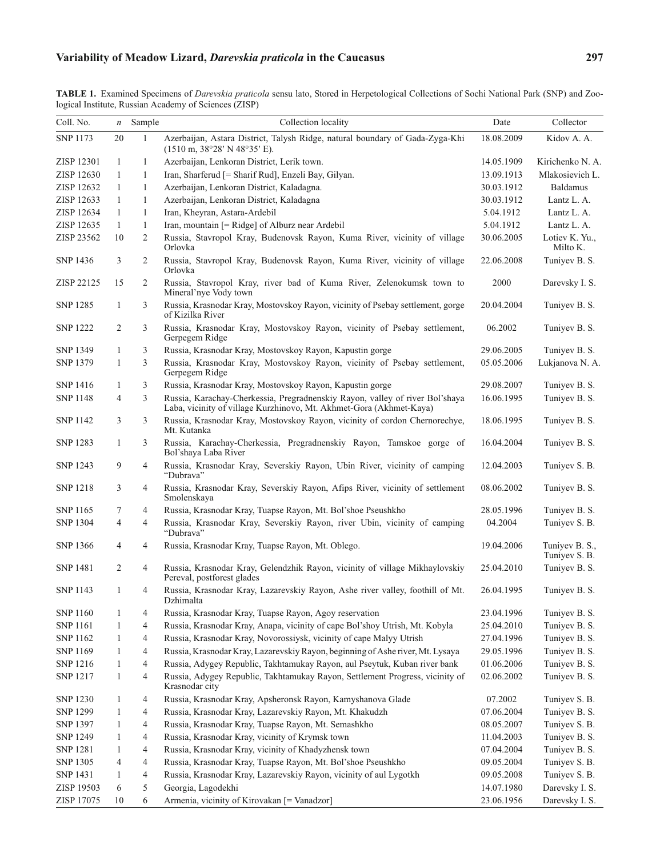# **Variability of Meadow Lizard,** *Darevskia praticola* **in the Caucasus 297**

| Coll. No.       | $\boldsymbol{n}$ | Sample                   | Collection locality                                                                                                                                   | Date       | Collector                       |
|-----------------|------------------|--------------------------|-------------------------------------------------------------------------------------------------------------------------------------------------------|------------|---------------------------------|
| <b>SNP 1173</b> | 20               | $\mathbf{1}$             | Azerbaijan, Astara District, Talysh Ridge, natural boundary of Gada-Zyga-Khi<br>$(1510 \text{ m}, 38^{\circ}28' \text{ N } 48^{\circ}35' \text{ E}).$ | 18.08.2009 | Kidov A. A.                     |
| ZISP 12301      | 1                | $\mathbf{1}$             | Azerbaijan, Lenkoran District, Lerik town.                                                                                                            | 14.05.1909 | Kirichenko N. A.                |
| ZISP 12630      | 1                | $\mathbf{1}$             | Iran, Sharferud [= Sharif Rud], Enzeli Bay, Gilyan.                                                                                                   | 13.09.1913 | Mlakosievich L.                 |
| ZISP 12632      | 1                | $\mathbf{1}$             | Azerbaijan, Lenkoran District, Kaladagna.                                                                                                             | 30.03.1912 | Baldamus                        |
| ZISP 12633      | 1                | $\mathbf{1}$             | Azerbaijan, Lenkoran District, Kaladagna                                                                                                              | 30.03.1912 | Lantz L. A.                     |
| ZISP 12634      | 1                | $\mathbf{1}$             | Iran, Kheyran, Astara-Ardebil                                                                                                                         | 5.04.1912  | Lantz L. A.                     |
| ZISP 12635      | 1                | $\mathbf{1}$             | Iran, mountain [= Ridge] of Alburz near Ardebil                                                                                                       | 5.04.1912  | Lantz L. A.                     |
| ZISP 23562      | 10               | 2                        | Russia, Stavropol Kray, Budenovsk Rayon, Kuma River, vicinity of village<br>Orlovka                                                                   | 30.06.2005 | Lotiev K. Yu.,<br>Milto K.      |
| SNP 1436        | 3                | 2                        | Russia, Stavropol Kray, Budenovsk Rayon, Kuma River, vicinity of village<br>Orlovka                                                                   | 22.06.2008 | Tuniyev B. S.                   |
| ZISP 22125      | 15               | 2                        | Russia, Stavropol Kray, river bad of Kuma River, Zelenokumsk town to<br>Mineral'nye Vody town                                                         | 2000       | Darevsky I. S.                  |
| <b>SNP 1285</b> | $\mathbf{1}$     | 3                        | Russia, Krasnodar Kray, Mostovskoy Rayon, vicinity of Psebay settlement, gorge<br>of Kizilka River                                                    | 20.04.2004 | Tuniyev B. S.                   |
| <b>SNP 1222</b> | 2                | 3                        | Russia, Krasnodar Kray, Mostovskoy Rayon, vicinity of Psebay settlement,<br>Gerpegem Ridge                                                            | 06.2002    | Tuniyev B. S.                   |
| <b>SNP 1349</b> | 1                | 3                        | Russia, Krasnodar Kray, Mostovskoy Rayon, Kapustin gorge                                                                                              | 29.06.2005 | Tuniyev B. S.                   |
| <b>SNP 1379</b> | 1                | 3                        | Russia, Krasnodar Kray, Mostovskoy Rayon, vicinity of Psebay settlement,<br>Gerpegem Ridge                                                            | 05.05.2006 | Lukjanova N. A.                 |
| SNP 1416        | 1                | 3                        | Russia, Krasnodar Kray, Mostovskoy Rayon, Kapustin gorge                                                                                              | 29.08.2007 | Tuniyev B. S.                   |
| <b>SNP 1148</b> | $\overline{4}$   | 3                        | Russia, Karachay-Cherkessia, Pregradnenskiy Rayon, valley of river Bol'shaya<br>Laba, vicinity of village Kurzhinovo, Mt. Akhmet-Gora (Akhmet-Kaya)   | 16.06.1995 | Tuniyev B. S.                   |
| <b>SNP 1142</b> | 3                | 3                        | Russia, Krasnodar Kray, Mostovskoy Rayon, vicinity of cordon Chernorechye,<br>Mt. Kutanka                                                             | 18.06.1995 | Tuniyev B. S.                   |
| <b>SNP 1283</b> | 1                | 3                        | Russia, Karachay-Cherkessia, Pregradnenskiy Rayon, Tamskoe gorge of<br>Bol'shaya Laba River                                                           | 16.04.2004 | Tuniyev B. S.                   |
| <b>SNP 1243</b> | 9                | 4                        | Russia, Krasnodar Kray, Severskiy Rayon, Ubin River, vicinity of camping<br>"Dubrava"                                                                 | 12.04.2003 | Tuniyev S. B.                   |
| SNP 1218        | 3                | 4                        | Russia, Krasnodar Kray, Severskiy Rayon, Afips River, vicinity of settlement<br>Smolenskaya                                                           | 08.06.2002 | Tuniyev B. S.                   |
| SNP 1165        | 7                | 4                        | Russia, Krasnodar Kray, Tuapse Rayon, Mt. Bol'shoe Pseushkho                                                                                          | 28.05.1996 | Tuniyev B. S.                   |
| <b>SNP 1304</b> | 4                | $\overline{4}$           | Russia, Krasnodar Kray, Severskiy Rayon, river Ubin, vicinity of camping<br>"Dubrava"                                                                 | 04.2004    | Tuniyev S. B.                   |
| <b>SNP 1366</b> | 4                | 4                        | Russia, Krasnodar Kray, Tuapse Rayon, Mt. Oblego.                                                                                                     | 19.04.2006 | Tuniyev B. S.,<br>Tuniyev S. B. |
| <b>SNP 1481</b> | 2                | 4                        | Russia, Krasnodar Kray, Gelendzhik Rayon, vicinity of village Mikhaylovskiy<br>Pereval, postforest glades                                             | 25.04.2010 | Tuniyev B. S.                   |
| <b>SNP 1143</b> | $\mathbf{1}$     | 4                        | Russia, Krasnodar Kray, Lazarevskiy Rayon, Ashe river valley, foothill of Mt.<br>Dzhimalta                                                            | 26.04.1995 | Tuniyev B. S.                   |
| <b>SNP 1160</b> | 1                | 4                        | Russia, Krasnodar Kray, Tuapse Rayon, Agoy reservation                                                                                                | 23.04.1996 | Tuniyev B. S.                   |
| <b>SNP 1161</b> | $\mathbf{1}$     | $\overline{4}$           | Russia, Krasnodar Kray, Anapa, vicinity of cape Bol'shoy Utrish, Mt. Kobyla                                                                           | 25.04.2010 | Tuniyev B. S.                   |
| SNP 1162        | $\mathbf{1}$     | 4                        | Russia, Krasnodar Kray, Novorossiysk, vicinity of cape Malyy Utrish                                                                                   | 27.04.1996 | Tuniyev B. S.                   |
| SNP 1169        | $\mathbf{1}$     | $\overline{4}$           | Russia, Krasnodar Kray, Lazarevskiy Rayon, beginning of Ashe river, Mt. Lysaya                                                                        | 29.05.1996 | Tuniyev B. S.                   |
| SNP 1216        | $\mathbf{1}$     | $\overline{4}$           | Russia, Adygey Republic, Takhtamukay Rayon, aul Pseytuk, Kuban river bank                                                                             | 01.06.2006 | Tuniyev B. S.                   |
| <b>SNP 1217</b> | $\mathbf{1}$     | $\overline{4}$           | Russia, Adygey Republic, Takhtamukay Rayon, Settlement Progress, vicinity of<br>Krasnodar city                                                        | 02.06.2002 | Tuniyev B. S.                   |
| <b>SNP 1230</b> | $\mathbf{1}$     | 4                        | Russia, Krasnodar Kray, Apsheronsk Rayon, Kamyshanova Glade                                                                                           | 07.2002    | Tuniyev S. B.                   |
| <b>SNP 1299</b> | $\mathbf{1}$     | $\overline{\mathcal{L}}$ | Russia, Krasnodar Kray, Lazarevskiy Rayon, Mt. Khakudzh                                                                                               | 07.06.2004 | Tuniyev B. S.                   |
| SNP 1397        | $\mathbf{1}$     | $\overline{4}$           | Russia, Krasnodar Kray, Tuapse Rayon, Mt. Semashkho                                                                                                   | 08.05.2007 | Tuniyev S. B.                   |
| <b>SNP 1249</b> | $\mathbf{1}$     | $\overline{4}$           | Russia, Krasnodar Kray, vicinity of Krymsk town                                                                                                       | 11.04.2003 | Tuniyev B. S.                   |
| <b>SNP 1281</b> | $\mathbf{1}$     | $\overline{4}$           | Russia, Krasnodar Kray, vicinity of Khadyzhensk town                                                                                                  | 07.04.2004 | Tuniyev B. S.                   |
| SNP 1305        | 4                | 4                        | Russia, Krasnodar Kray, Tuapse Rayon, Mt. Bol'shoe Pseushkho                                                                                          | 09.05.2004 | Tuniyev S. B.                   |
| <b>SNP 1431</b> | $\mathbf{1}$     | $\overline{\mathcal{L}}$ | Russia, Krasnodar Kray, Lazarevskiy Rayon, vicinity of aul Lygotkh                                                                                    | 09.05.2008 | Tuniyev S. B.                   |
| ZISP 19503      | 6                | 5                        | Georgia, Lagodekhi                                                                                                                                    | 14.07.1980 | Darevsky I. S.                  |
| ZISP 17075      | 10               | 6                        | Armenia, vicinity of Kirovakan [= Vanadzor]                                                                                                           | 23.06.1956 | Darevsky I. S.                  |

**TABLE 1.** Examined Specimens of *Darevskia praticola* sensu lato, Stored in Herpetological Collections of Sochi National Park (SNP) and Zoological Institute, Russian Academy of Sciences (ZISP)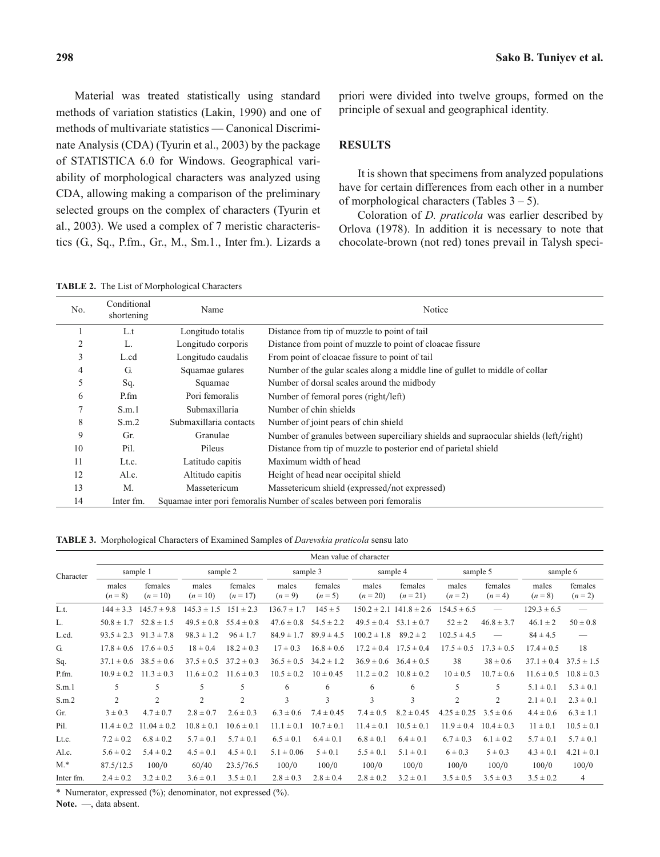Material was treated statistically using standard methods of variation statistics (Lakin, 1990) and one of methods of multivariate statistics — Canonical Discriminate Analysis (CDA) (Tyurin et al., 2003) by the package of STATISTICA 6.0 for Windows. Geographical variability of morphological characters was analyzed using CDA, allowing making a comparison of the preliminary selected groups on the complex of characters (Tyurin et al., 2003). We used a complex of 7 meristic characteristics (G., Sq., P.fm., Gr., M., Sm.1., Inter fm.). Lizards a priori were divided into twelve groups, formed on the principle of sexual and geographical identity.

## **RESULTS**

It is shown that specimens from analyzed populations have for certain differences from each other in a number of morphological characters (Tables  $3 - 5$ ).

Coloration of *D. praticola* was earlier described by Orlova (1978). In addition it is necessary to note that chocolate-brown (not red) tones prevail in Talysh speci-

**TABLE 2.** The List of Morphological Characters

| No.    | Conditional<br>shortening | Name                   | Notice                                                                               |
|--------|---------------------------|------------------------|--------------------------------------------------------------------------------------|
|        | L.t                       | Longitudo totalis      | Distance from tip of muzzle to point of tail                                         |
| 2      | L.                        | Longitudo corporis     | Distance from point of muzzle to point of cloacae fissure                            |
| 3      | L.cd                      | Longitudo caudalis     | From point of cloacae fissure to point of tail                                       |
| 4      | G.                        | Squamae gulares        | Number of the gular scales along a middle line of gullet to middle of collar         |
| 5      | Sq.                       | Squamae                | Number of dorsal scales around the midbody                                           |
| 6      | P.fm                      | Pori femoralis         | Number of femoral pores (right/left)                                                 |
| $\tau$ | S.m.1                     | Submaxillaria          | Number of chin shields                                                               |
| 8      | S.m.2                     | Submaxillaria contacts | Number of joint pears of chin shield                                                 |
| 9      | Gr.                       | Granulae               | Number of granules between superciliary shields and supraocular shields (left/right) |
| 10     | Pil.                      | Pileus                 | Distance from tip of muzzle to posterior end of parietal shield                      |
| 11     | Lt.c.                     | Latitudo capitis       | Maximum width of head                                                                |
| 12     | Al.c.                     | Altitudo capitis       | Height of head near occipital shield                                                 |
| 13     | M.                        | Massetericum           | Massetericum shield (expressed/not expressed)                                        |
| 14     | Inter fm.                 |                        | Squamae inter pori femoralis Number of scales between pori femoralis                 |

**TABLE 3.** Morphological Characters of Examined Samples of *Darevskia praticola* sensu lato

|           |                    | Mean value of character |                     |                       |                    |                      |                     |                     |                  |                          |                               |                          |
|-----------|--------------------|-------------------------|---------------------|-----------------------|--------------------|----------------------|---------------------|---------------------|------------------|--------------------------|-------------------------------|--------------------------|
| Character |                    | sample 1                |                     | sample 2              |                    | sample 3             |                     | sample 4            |                  | sample 5                 |                               | sample 6                 |
|           | males<br>$(n = 8)$ | females<br>$(n = 10)$   | males<br>$(n = 10)$ | females<br>$(n = 17)$ | males<br>$(n = 9)$ | females<br>$(n = 5)$ | males<br>$(n = 20)$ | females<br>$(n=21)$ | males<br>$(n=2)$ | females<br>$(n=4)$       | males<br>$(n = 8)$            | females<br>$(n=2)$       |
| L.t.      | $144 \pm 3.3$      | $145.7 \pm 9.8$         | $145.3 \pm 1.5$     | $151 \pm 2.3$         | $136.7 \pm 1.7$    | $145 \pm 5$          | $150.2 \pm 2.1$     | $141.8 \pm 2.6$     | $154.5 \pm 6.5$  | $\overline{\phantom{0}}$ | $129.3 \pm 6.5$               | $\frac{1}{2}$            |
| L.        | $50.8 \pm 1.7$     | $52.8 \pm 1.5$          | $49.5 \pm 0.8$      | $55.4 \pm 0.8$        | $47.6 \pm 0.8$     | $54.5 \pm 2.2$       | $49.5 \pm 0.4$      | $53.1 \pm 0.7$      | $52 \pm 2$       | $46.8 \pm 3.7$           | $46.1 \pm 2$                  | $50 \pm 0.8$             |
| L.cd.     | $93.5 \pm 2.3$     | $91.3 \pm 7.8$          | $98.3 \pm 1.2$      | $96 \pm 1.7$          | $84.9 \pm 1.7$     | $89.9 \pm 4.5$       | $100.2 \pm 1.8$     | $89.2 \pm 2$        | $102.5 \pm 4.5$  |                          | $84 \pm 4.5$                  | $\overline{\phantom{0}}$ |
| G.        | $17.8 \pm 0.6$     | $17.6 \pm 0.5$          | $18 \pm 0.4$        | $18.2 \pm 0.3$        | $17 \pm 0.3$       | $16.8 \pm 0.6$       | $17.2 \pm 0.4$      | $17.5 \pm 0.4$      | $17.5 \pm 0.5$   | $17.3 \pm 0.5$           | $17.4 \pm 0.5$                | 18                       |
| Sq.       | $37.1 \pm 0.6$     | $38.5 \pm 0.6$          | $37.5 \pm 0.5$      | $37.2 \pm 0.3$        | $36.5 \pm 0.5$     | $34.2 \pm 1.2$       | $36.9 \pm 0.6$      | $36.4 \pm 0.5$      | 38               | $38 \pm 0.6$             | $37.1 \pm 0.4$ $37.5 \pm 1.5$ |                          |
| P.fm.     | $10.9 \pm 0.2$     | $11.3 \pm 0.3$          | $11.6 \pm 0.2$      | $11.6 \pm 0.3$        | $10.5 \pm 0.2$     | $10 \pm 0.45$        | $11.2 \pm 0.2$      | $10.8 \pm 0.2$      | $10 \pm 0.5$     | $10.7 \pm 0.6$           | $11.6 \pm 0.5$                | $10.8 \pm 0.3$           |
| S.m.1     | 5                  | 5                       | 5                   | 5                     | 6                  | 6                    | 6                   | 6                   | 5                | 5                        | $5.1 \pm 0.1$                 | $5.3 \pm 0.1$            |
| S.m.2     | $\overline{2}$     | $\overline{c}$          | 2                   | $\overline{2}$        | 3                  | 3                    | 3                   | 3                   | $\overline{c}$   | $\overline{c}$           | $2.1 \pm 0.1$                 | $2.3 \pm 0.1$            |
| Gr.       | $3 \pm 0.3$        | $4.7 \pm 0.7$           | $2.8 \pm 0.7$       | $2.6 \pm 0.3$         | $6.3 \pm 0.6$      | $7.4 \pm 0.45$       | $7.4 \pm 0.5$       | $8.2 \pm 0.45$      | $4.25 \pm 0.25$  | $3.5 \pm 0.6$            | $4.4 \pm 0.6$                 | $6.3 \pm 1.1$            |
| Pil.      | $11.4 \pm 0.2$     | $11.04 \pm 0.2$         | $10.8 \pm 0.1$      | $10.6 \pm 0.1$        | $11.1 \pm 0.1$     | $10.7 \pm 0.1$       | $11.4 \pm 0.1$      | $10.5 \pm 0.1$      | $11.9 \pm 0.4$   | $10.4 \pm 0.3$           | $11 \pm 0.1$                  | $10.5 \pm 0.1$           |
| Lt.c.     | $7.2 \pm 0.2$      | $6.8 \pm 0.2$           | $5.7 \pm 0.1$       | $5.7 \pm 0.1$         | $6.5 \pm 0.1$      | $6.4 \pm 0.1$        | $6.8 \pm 0.1$       | $6.4 \pm 0.1$       | $6.7 \pm 0.3$    | $6.1 \pm 0.2$            | $5.7 \pm 0.1$                 | $5.7 \pm 0.1$            |
| Al.c.     | $5.6 \pm 0.2$      | $5.4 \pm 0.2$           | $4.5 \pm 0.1$       | $4.5 \pm 0.1$         | $5.1 \pm 0.06$     | $5 \pm 0.1$          | $5.5 \pm 0.1$       | $5.1 \pm 0.1$       | $6 \pm 0.3$      | $5 \pm 0.3$              | $4.3 \pm 0.1$                 | $4.21 \pm 0.1$           |
| $M.*$     | 87.5/12.5          | 100/0                   | 60/40               | 23.5/76.5             | 100/0              | 100/0                | 100/0               | 100/0               | 100/0            | 100/0                    | 100/0                         | 100/0                    |
| Inter fm. | $2.4 \pm 0.2$      | $3.2 \pm 0.2$           | $3.6 \pm 0.1$       | $3.5 \pm 0.1$         | $2.8 \pm 0.3$      | $2.8 \pm 0.4$        | $2.8 \pm 0.2$       | $3.2 \pm 0.1$       | $3.5 \pm 0.5$    | $3.5 \pm 0.3$            | $3.5 \pm 0.2$                 | 4                        |

\* Numerator, expressed (%); denominator, not expressed (%).

**Note.** —, data absent.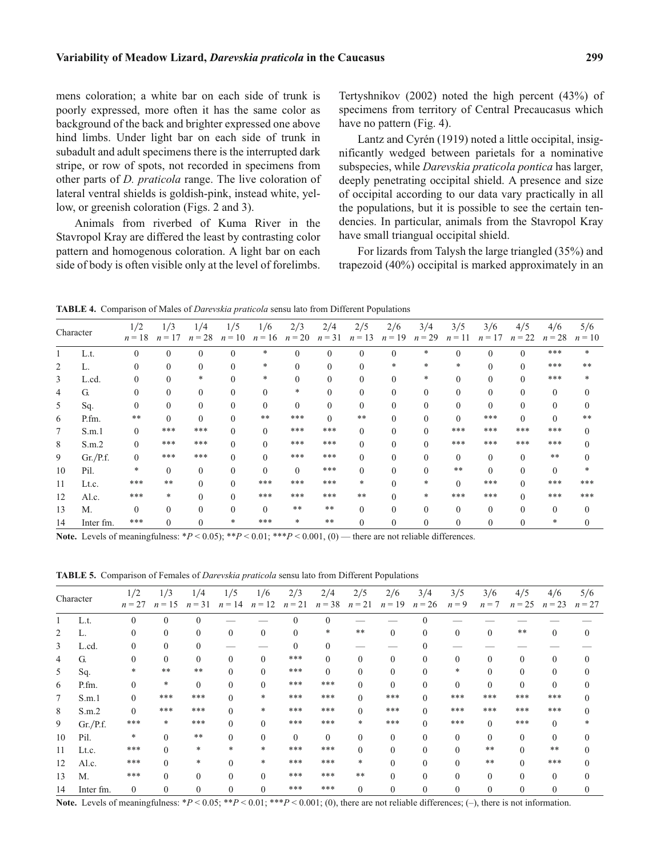mens coloration; a white bar on each side of trunk is poorly expressed, more often it has the same color as background of the back and brighter expressed one above hind limbs. Under light bar on each side of trunk in subadult and adult specimens there is the interrupted dark stripe, or row of spots, not recorded in specimens from other parts of *D. praticola* range. The live coloration of lateral ventral shields is goldish-pink, instead white, yellow, or greenish coloration (Figs. 2 and 3).

Animals from riverbed of Kuma River in the Stavropol Kray are differed the least by contrasting color pattern and homogenous coloration. A light bar on each side of body is often visible only at the level of forelimbs. Tertyshnikov (2002) noted the high percent (43%) of specimens from territory of Central Precaucasus which have no pattern (Fig. 4).

Lantz and Cyrén (1919) noted a little occipital, insignificantly wedged between parietals for a nominative subspecies, while *Darevskia praticola pontica* has larger, deeply penetrating occipital shield. A presence and size of occipital according to our data vary practically in all the populations, but it is possible to see the certain tendencies. In particular, animals from the Stavropol Kray have small triangual occipital shield.

For lizards from Talysh the large triangled (35%) and trapezoid (40%) occipital is marked approximately in an

|  | <b>TABLE 4.</b> Comparison of Males of <i>Darevskia praticola</i> sensu lato from Different Populations |
|--|---------------------------------------------------------------------------------------------------------|
|--|---------------------------------------------------------------------------------------------------------|

|        | Character | 1/2<br>$n=18$ | 1/3<br>$n=17$ | 1/4<br>$n = 28$ | 1/5<br>$n = 10$ | 1/6      | 2/3<br>$n = 16$ $n = 20$ | 2/4<br>$n = 31$ | 2/5<br>$n=13$ | 2/6<br>$n = 19$ | 3/4<br>$n = 29$ | 3/5<br>$n = 11$ | 3/6<br>$n=17$ | 4/5<br>$n = 22$ | 4/6<br>$n = 28$ | 5/6<br>$n=10$ |
|--------|-----------|---------------|---------------|-----------------|-----------------|----------|--------------------------|-----------------|---------------|-----------------|-----------------|-----------------|---------------|-----------------|-----------------|---------------|
|        |           |               |               |                 |                 |          |                          |                 |               |                 |                 |                 |               |                 |                 |               |
|        | L.t.      | $\Omega$      | $\Omega$      |                 |                 | *        |                          | $\Omega$        |               |                 | *               |                 | $\Omega$      | $\Omega$        | ***             | $\ast$        |
| 2      | L.        |               | $\Omega$      |                 |                 | *        |                          |                 |               |                 | $\ast$          | $\ast$          |               |                 | ***             | $**$          |
| 3      | L.cd.     | 0             | $\Omega$      | *               |                 | *        | 0                        | $\Omega$        |               | 0               | *               | $\Omega$        |               | 0               | ***             |               |
| 4      | G.        |               | $\Omega$      |                 |                 | $\Omega$ | *                        |                 |               |                 |                 |                 |               |                 | $\Omega$        |               |
| 5      | Sq.       |               | $\theta$      |                 |                 | $\Omega$ | $\Omega$                 |                 |               |                 |                 |                 |               |                 | $\Omega$        |               |
| 6      | P.fm.     | **            | $\Omega$      | $\Omega$        | 0               | **       | ***                      | $\Omega$        | $***$         | 0               |                 | $\Omega$        | ***           | 0               | $\Omega$        | $**$          |
| $\tau$ | S.m.1     | $\Omega$      | ***           | ***             | 0               | $\Omega$ | ***                      | ***             |               | 0               |                 | ***             | ***           | ***             | ***             |               |
| 8      | S.m.2     |               | ***           | ***             |                 | $\Omega$ | ***                      | ***             |               |                 |                 | ***             | ***           | ***             | ***             |               |
| 9      | Gr./P.f.  | 0             | ***           | ***             |                 | $\Omega$ | ***                      | ***             |               | 0               |                 | $\theta$        | $\Omega$      | $\Omega$        | $***$           |               |
| 10     | Pil.      | *             | $\Omega$      | 0               |                 | $\Omega$ | $\Omega$                 | ***             |               |                 |                 | $***$           | $\Omega$      |                 | $\Omega$        |               |
| 11     | Lt.c.     | ***           | $***$         |                 | 0               | ***      | ***                      | ***             | *             |                 |                 | $\Omega$        | ***           | $\Omega$        | ***             | ***           |
| 12     | Al.c.     | ***           | *             |                 |                 | ***      | ***                      | ***             | **            |                 | $\ast$          | ***             | ***           |                 | ***             | ***           |
| 13     | M.        | $\Omega$      | $\Omega$      |                 |                 | $\Omega$ | $***$                    | $***$           |               |                 |                 | $\Omega$        | $\Omega$      |                 | $\Omega$        |               |
| 14     | Inter fm. | ***           |               |                 |                 | ***      | $\ast$                   | **              |               |                 |                 |                 |               |                 |                 |               |

**Note.** Levels of meaningfulness:  $*P < 0.05$ ;  $**P < 0.01$ ;  $**P < 0.001$ , (0) — there are not reliable differences.

**TABLE 5.** Comparison of Females of *Darevskia praticola* sensu lato from Different Populations

|    | Character | 1/2<br>$n = 27$ | 1/3<br>$n = 15$ | 1/4<br>$n = 31$ | 1/5<br>$n = 14$ | 1/6<br>$n=12$ | 2/3<br>$n = 21$ | 2/4<br>$n = 38$ | 2/5<br>$n = 21$ | 2/6<br>$n = 19$ | 3/4<br>$n = 26$ | 3/5<br>$n = 9$ | 3/6<br>$n = 7$ | 4/5<br>$n = 25$ | 4/6<br>$n = 23$ | 5/6<br>$n=27$ |
|----|-----------|-----------------|-----------------|-----------------|-----------------|---------------|-----------------|-----------------|-----------------|-----------------|-----------------|----------------|----------------|-----------------|-----------------|---------------|
|    | L.t.      | $\Omega$        | $\Omega$        | $\Omega$        |                 |               | $\Omega$        | $\Omega$        |                 |                 |                 |                |                |                 |                 |               |
| 2  | L.        |                 | $\Omega$        | $\Omega$        | $\Omega$        | $\mathbf{0}$  | $\Omega$        | *               | $***$           | $\Omega$        | $\Omega$        | $\Omega$       | $\Omega$       | $***$           | $\theta$        |               |
| 3  | L.cd.     |                 | $\Omega$        | $\Omega$        |                 |               | $\Omega$        | $\Omega$        |                 |                 |                 |                |                |                 |                 |               |
| 4  | G.        |                 | $\Omega$        | $\theta$        | $\Omega$        | $\Omega$      | ***             | $\Omega$        | $\Omega$        | $\Omega$        | $\Omega$        | $\Omega$       | $\Omega$       | 0               | $\Omega$        |               |
| 5  | Sq.       |                 | $***$           | **              |                 | $\mathbf{0}$  | ***             | $\Omega$        |                 | $\mathbf{0}$    | $\Omega$        | *              | $\Omega$       |                 | $\bf{0}$        |               |
| 6  | P.fm.     |                 | $\ast$          | $\theta$        | $\Omega$        | $\Omega$      | ***             | ***             | $\Omega$        | $\Omega$        | $\Omega$        | $\Omega$       | $\Omega$       | $\Omega$        | $\Omega$        |               |
| 7  | S.m.1     | $\Omega$        | ***             | ***             |                 | *             | ***             | ***             |                 | ***             | $\Omega$        | ***            | ***            | ***             | ***             |               |
| 8  | S.m.2     | $\Omega$        | ***             | ***             | $\Omega$        | *             | ***             | ***             |                 | ***             | $\Omega$        | ***            | ***            | ***             | ***             |               |
| 9  | Gr./P.f.  | ***             | $\ast$          | ***             | $\Omega$        | $\Omega$      | ***             | $***$           | $\ast$          | ***             | $\Omega$        | ***            | $\Omega$       | ***             | $\theta$        |               |
| 10 | Pil.      | $\ast$          | $\Omega$        | **              | 0               | $\Omega$      | $\theta$        | $\Omega$        |                 | $\Omega$        | $\Omega$        | $\Omega$       | $\Omega$       | $\Omega$        | $\theta$        |               |
| 11 | Lt.c.     | ***             | $\Omega$        | *               | *               | *             | ***             | ***             |                 | $\Omega$        |                 |                | **             |                 | $***$           |               |
| 12 | Al.c.     | ***             | $\Omega$        | *               |                 | *             | ***             | ***             | *               |                 | $\Omega$        |                | $***$          | $\Omega$        | ***             |               |
| 13 | M.        | ***             | $\Omega$        | $\Omega$        | 0               | $\Omega$      | ***             | ***             | **              | $\Omega$        | $\Omega$        |                | $\Omega$       |                 | $\Omega$        |               |
| 14 | Inter fm. | $\overline{0}$  | $\Omega$        |                 |                 | $\theta$      | ***             | ***             |                 |                 |                 |                | $\Omega$       |                 | 0               |               |

Note. Levels of meaningfulness: \**P* < 0.05; \*\**P* < 0.01; \*\*\**P* < 0.001; (0), there are not reliable differences; (-), there is not information.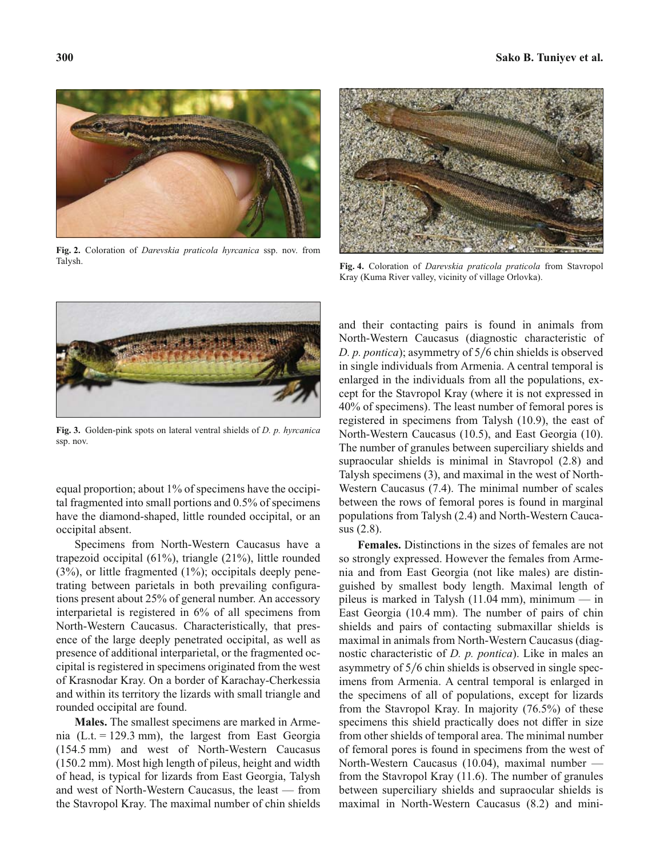

**Fig. 2.** Coloration of *Darevskia praticola hyrcanica* ssp. nov. from Talysh.



**Fig. 4.** Coloration of *Darevskia praticola praticola* from Stavropol Kray (Kuma River valley, vicinity of village Orlovka).



**Fig. 3.** Golden-pink spots on lateral ventral shields of *D. p. hyrcanica* ssp. nov.

equal proportion; about 1% of specimens have the occipital fragmented into small portions and 0.5% of specimens have the diamond-shaped, little rounded occipital, or an occipital absent.

Specimens from North-Western Caucasus have a trapezoid occipital (61%), triangle (21%), little rounded (3%), or little fragmented (1%); occipitals deeply penetrating between parietals in both prevailing configurations present about 25% of general number. An accessory interparietal is registered in 6% of all specimens from North-Western Caucasus. Characteristically, that presence of the large deeply penetrated occipital, as well as presence of additional interparietal, or the fragmented occipital is registered in specimens originated from the west of Krasnodar Kray. On a border of Karachay-Cherkessia and within its territory the lizards with small triangle and rounded occipital are found.

**Males.** The smallest specimens are marked in Armenia (L.t. = 129.3 mm), the largest from East Georgia (154.5 mm) and west of North-Western Caucasus (150.2 mm). Most high length of pileus, height and width of head, is typical for lizards from East Georgia, Talysh and west of North-Western Caucasus, the least — from the Stavropol Kray. The maximal number of chin shields and their contacting pairs is found in animals from North-Western Caucasus (diagnostic characteristic of *D. p. pontica*); asymmetry of 5/6 chin shields is observed in single individuals from Armenia. A central temporal is enlarged in the individuals from all the populations, except for the Stavropol Kray (where it is not expressed in 40% of specimens). The least number of femoral pores is registered in specimens from Talysh (10.9), the east of North-Western Caucasus (10.5), and East Georgia (10). The number of granules between superciliary shields and supraocular shields is minimal in Stavropol (2.8) and Talysh specimens (3), and maximal in the west of North-Western Caucasus (7.4). The minimal number of scales between the rows of femoral pores is found in marginal populations from Talysh (2.4) and North-Western Caucasus (2.8).

**Females.** Distinctions in the sizes of females are not so strongly expressed. However the females from Armenia and from East Georgia (not like males) are distinguished by smallest body length. Maximal length of pileus is marked in Talysh  $(11.04 \text{ mm})$ , minimum — in East Georgia (10.4 mm). The number of pairs of chin shields and pairs of contacting submaxillar shields is maximal in animals from North-Western Caucasus (diagnostic characteristic of *D. p. pontica*). Like in males an asymmetry of 5/6 chin shields is observed in single specimens from Armenia. A central temporal is enlarged in the specimens of all of populations, except for lizards from the Stavropol Kray. In majority (76.5%) of these specimens this shield practically does not differ in size from other shields of temporal area. The minimal number of femoral pores is found in specimens from the west of North-Western Caucasus (10.04), maximal number from the Stavropol Kray (11.6). The number of granules between superciliary shields and supraocular shields is maximal in North-Western Caucasus (8.2) and mini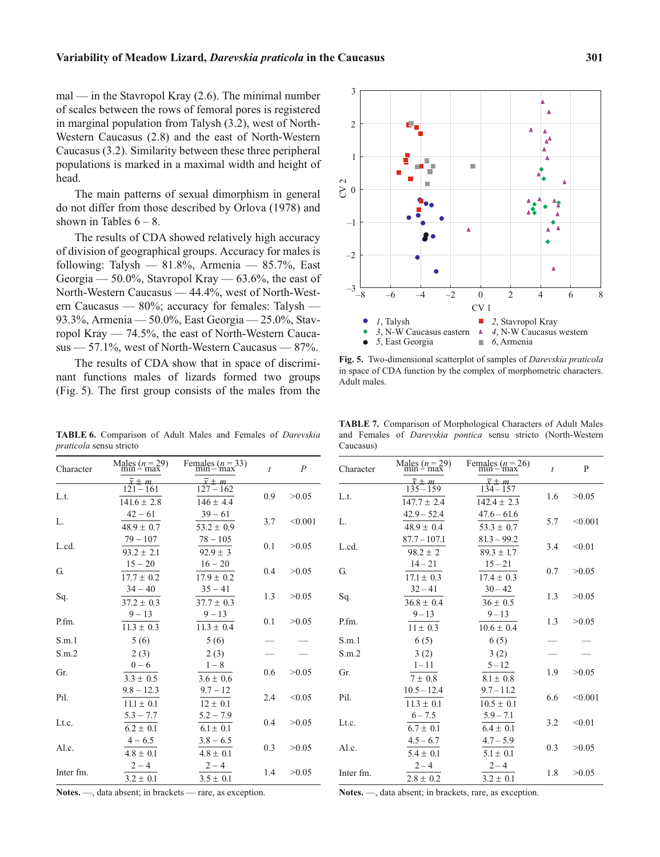mal — in the Stavropol Kray (2.6). The minimal number of scales between the rows of femoral pores is registered in marginal population from Talysh (3.2), west of North-Western Caucasus (2.8) and the east of North-Western Caucasus (3.2). Similarity between these three peripheral populations is marked in a maximal width and height of head.

The main patterns of sexual dimorphism in general do not differ from those described by Orlova (1978) and shown in Tables  $6 - 8$ .

The results of CDA showed relatively high accuracy of division of geographical groups. Accuracy for males is following: Talysh —  $81.8\%$ , Armenia —  $85.7\%$ , East Georgia — 50.0%, Stavropol Kray — 63.6%, the east of North-Western Caucasus — 44.4%, west of North-Western Caucasus — 80%; accuracy for females: Talysh — 93.3%, Armenia — 50.0%, East Georgia — 25.0%, Stavropol Kray — 74.5%, the east of North-Western Caucasus — 57.1%, west of North-Western Caucasus — 87%.

The results of CDA show that in space of discriminant functions males of lizards formed two groups (Fig. 5). The first group consists of the males from the

**TABLE 6.** Comparison of Adult Males and Females of *Darevskia praticola* sensu stricto  $\frac{\text{Males} (n=29)}{\text{Similar number}}$ 

Females  $(n=33)$ <br>min – max  $\frac{\pi}{\sqrt{m}} = m$ 

 $127 - 162$  $146 \pm 4.4$ 

 $39 - 61$  $\frac{39 - 61}{53.2 \pm 0.9}$ 

 $78 - 105$  $\frac{78 - 105}{92.9 \pm 3}$ 

 $\frac{16 - 20}{7.9 \pm 0.}$  $17.9 \pm 0.2$ 

 $35 - 41$  $\frac{35 - 41}{37.7 \pm 0.3}$ 

 $9 - 13$  $\frac{9-13}{11.3 \pm 0.4}$ 

 $1 - 8$  $\frac{1-8}{3.6 \pm 0.6}$  $2(3)$ 

 $9.7 - 12$  $12 \pm 0.1$ 

 $5.2 - 7.9$ 

*t P*

 $0.9$   $>0.05$ 

3.7  $< 0.001$ 

 $0.1$   $>0.05$ 

 $0.4$   $>0.05$ 

 $1.3 \t > 0.05$ 

 $0.1$   $>0.05$ 

 $0.6 > 0.05$ 

 $2.4 \leq 0.05$ 

 $0.4$   $>0.05$ 

 $\frac{\text{cos}~(n-\text{sin})}{\text{x} \pm m}$ 

 $\frac{121 - 161}{41.6 \pm 2.8}$  $141.6 \pm 2.8$  $\frac{1}{r} + m$ 

 $42 - 61$  $\frac{42 - 61}{48.9 \pm 0.7}$ 

 $79 - 107$  $\frac{79-107}{93.2 \pm 2.1}$ 

 $\frac{15 - 20}{7.7 \pm 0.}$  $17.7 \pm 0.2$ 

 $34 - 40$  $\frac{34 - 40}{37.2 \pm 0.3}$ 

 $9 - 13$  $\frac{9-13}{11.3 \pm 0.3}$ 

 $0 - 6$  $\frac{0-6}{3.3 \pm 0.5}$  $2(3)$ 

 $9.8 - 12.3$  $11.1 \pm 0.1$ 

 $5.3 - 7.7$ 

L.t.

L.

G.

Sq.

P.fm.

Gr.

Pil.

Lt.c.

L.cd.

| $\cdots$  | $-1$ , $-1$ , $-1$ , $-1$ , $-1$ , $-1$ , $-1$ , $-1$ , $-1$ , $-1$ , $-1$ , $-1$ , $-1$ , $-1$ , $-1$ , $-1$ , $-1$ , $-1$ , $-1$ , $-1$ , $-1$ , $-1$ , $-1$ , $-1$ , $-1$ , $-1$ , $-1$ , $-1$ , $-1$ , $-1$ , $-1$ , $-1$ |               |     |       |
|-----------|-------------------------------------------------------------------------------------------------------------------------------------------------------------------------------------------------------------------------------|---------------|-----|-------|
| Inter fm. | $3.2 \pm 0.1$                                                                                                                                                                                                                 | $3.5 \pm 0.1$ | 1.4 | >0.05 |
|           | $2 - 4$                                                                                                                                                                                                                       | $2 - 4$       |     |       |
| Al.c.     | $4.8 \pm 0.1$                                                                                                                                                                                                                 | $4.8 \pm 0.1$ | 0.3 | >0.05 |
|           | $4 - 6.5$                                                                                                                                                                                                                     | $3.8 - 6.5$   |     |       |
| LU.C.     | $6.2 \pm 0.1$                                                                                                                                                                                                                 | $6.1 \pm 0.1$ | 0.4 | 20.05 |

S.m.1  $5(6)$   $5(6)$   $-$ S.m.2 2 (3)  $2 (3)$   $2 (3)$   $-$ 



**Fig. 5.** Two-dimensional scatterplot of samples of *Darevskia praticola* in space of CDA function by the complex of morphometric characters. Adult males.

**TABLE 7.** Comparison of Morphological Characters of Adult Males and Females of *Darevskia pontica* sensu stricto (North-Western Caucasus)

| Character | Males $(n=29)$<br>min – max | Females $(n=26)$<br>min – max | $\bar{t}$ | P       |
|-----------|-----------------------------|-------------------------------|-----------|---------|
|           | m                           |                               |           |         |
| L.t.      | $135 - 159$                 | $134 - 157$                   | 1.6       | >0.05   |
|           | $147.7 \pm 2.4$             | $142.4 \pm 2.3$               |           |         |
| L.        | $42.9 - 52.4$               | $47.6 - 61.6$                 |           | < 0.001 |
|           | $48.9 \pm 0.4$              | $53.3 \pm 0.7$                | 5.7       |         |
|           | $87.7 - 107.1$              | $81.3 - 99.2$                 |           |         |
| L.cd.     | $98.2 \pm 2$                | $89.3 \pm 1.7$                | 3.4       | < 0.01  |
|           | $14 - 21$                   | $15 - 21$                     |           |         |
| G.        | $17.1 \pm 0.3$              | $17.4 \pm 0.3$                | 0.7       | >0.05   |
|           | $32 - 41$                   | $30 - 42$                     |           |         |
| Sq.       | $36.8 \pm 0.4$              | $36 \pm 0.5$                  | 1.3       | >0.05   |
|           | $9 - 13$                    | $9 - 13$                      |           |         |
| P.fm.     | $11 \pm 0.3$                | $10.6 \pm 0.4$                | 1.3       | >0.05   |
| S.m.1     | 6(5)                        | 6(5)                          |           |         |
| S.m.2     | 3(2)                        | 3(2)                          |           |         |
|           | $1 - 11$                    | $5 - 12$                      |           |         |
| Gr.       | $7 \pm 0.8$                 | $8.1 \pm 0.8$                 | 1.9       | >0.05   |
|           | $10.5 - 12.4$               | $9.7 - 11.2$                  |           |         |
| Pil.      | $11.3 \pm 0.1$              | $10.5 \pm 0.1$                | 6.6       | < 0.001 |
|           | $6 - 7.5$                   | $5.9 - 7.1$                   |           |         |
| Lt.c.     | $6.7 \pm 0.1$               | $6.4 \pm 0.1$                 | 3.2       | < 0.01  |
|           | $4.5 - 6.7$                 | $4.7 - 5.9$                   |           |         |
| Al.c.     | $5.4 \pm 0.1$               | $5.1 \pm 0.1$                 | 0.3       | >0.05   |
|           | $2 - 4$                     | $2 - 4$                       |           |         |
| Inter fm. |                             |                               | 1.8       | >0.05   |
|           | $2.8 \pm 0.2$               | $3.2 \pm 0.1$                 |           |         |

**Notes.** —, data absent; in brackets — rare, as exception.

**Notes.** —, data absent; in brackets, rare, as exception.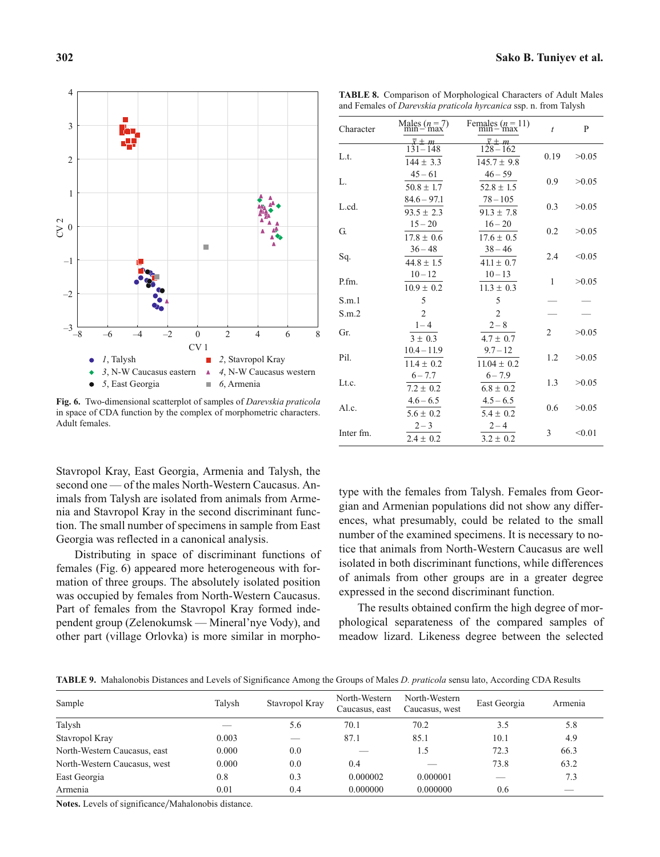

**Fig. 6.** Two-dimensional scatterplot of samples of *Darevskia praticola* in space of CDA function by the complex of morphometric characters. Adult females.

Stavropol Kray, East Georgia, Armenia and Talysh, the second one — of the males North-Western Caucasus. Animals from Talysh are isolated from animals from Armenia and Stavropol Kray in the second discriminant function. The small number of specimens in sample from East Georgia was reflected in a canonical analysis.

Distributing in space of discriminant functions of females (Fig. 6) appeared more heterogeneous with formation of three groups. The absolutely isolated position was occupied by females from North-Western Caucasus. Part of females from the Stavropol Kray formed independent group (Zelenokumsk — Mineral'nye Vody), and other part (village Orlovka) is more similar in morpho**TABLE 8.** Comparison of Morphological Characters of Adult Males and Females of *Darevskia praticola hyrcanica* ssp. n. from Talysh

| Character | Males $(n=7)$<br>min-max          | Females $(n=11)$<br>min – max         | $\bar{t}$      | P      |
|-----------|-----------------------------------|---------------------------------------|----------------|--------|
| L.t.      | m<br>$131 - 148$<br>$144 \pm 3.3$ | х±т<br>$128 - 162$<br>$145.7 \pm 9.8$ | 0.19           | >0.05  |
| L.        | $45 - 61$<br>$50.8 \pm 1.7$       | $46 - 59$<br>$52.8 \pm 1.5$           | 0.9            | >0.05  |
| L.cd.     | $84.6 - 97.1$<br>$93.5 \pm 2.3$   | $78 - 105$<br>$91.3 \pm 7.8$          | 0.3            | >0.05  |
| G.        | $15 - 20$<br>$17.8 \pm 0.6$       | $16 - 20$<br>$17.6 \pm 0.5$           | 0.2            | >0.05  |
| Sq.       | $36 - 48$<br>$44.8 \pm 1.5$       | $38 - 46$<br>$41.1 \pm 0.7$           | 2.4            | < 0.05 |
| P.fm.     | $10 - 12$<br>$10.9 \pm 0.2$       | $10 - 13$<br>$11.3 \pm 0.3$           | 1              | >0.05  |
| S.m.1     | 5                                 | 5                                     |                |        |
| S.m.2     | $\overline{2}$                    | $\overline{2}$                        |                |        |
| Gr.       | $1 - 4$<br>$3 \pm 0.3$            | $2 - 8$<br>$4.7 \pm 0.7$              | $\overline{c}$ | >0.05  |
| Pil.      | $10.4 - 11.9$<br>$11.4 \pm 0.2$   | $9.7 - 12$<br>$11.04 \pm 0.2$         | 1.2            | >0.05  |
| Lt.c.     | $6 - 7.7$<br>$7.2 \pm 0.2$        | $6 - 7.9$<br>$6.8 \pm 0.2$            | 1.3            | >0.05  |
| Al.c.     | $4.6 - 6.5$<br>$5.6 \pm 0.2$      | $4.5 - 6.5$<br>$5.4 \pm 0.2$          | 0.6            | >0.05  |
| Inter fm. | $2 - 3$<br>$2.4 \pm 0.2$          | $2 - 4$<br>$3.2 \pm 0.2$              | 3              | < 0.01 |

type with the females from Talysh. Females from Georgian and Armenian populations did not show any differences, what presumably, could be related to the small number of the examined specimens. It is necessary to notice that animals from North-Western Caucasus are well isolated in both discriminant functions, while differences of animals from other groups are in a greater degree expressed in the second discriminant function.

The results obtained confirm the high degree of morphological separateness of the compared samples of meadow lizard. Likeness degree between the selected

**TABLE 9.** Mahalonobis Distances and Levels of Significance Among the Groups of Males *D. praticola* sensu lato, According CDA Results

| Sample                       | Talysh | Stavropol Kray | North-Western<br>Caucasus, east | North-Western<br>Caucasus, west | East Georgia | Armenia |
|------------------------------|--------|----------------|---------------------------------|---------------------------------|--------------|---------|
| Talysh                       |        | 5.6            | 70.1                            | 70.2                            | 3.5          | 5.8     |
| Stavropol Kray               | 0.003  | _              | 87.1                            | 85.1                            | 10.1         | 4.9     |
| North-Western Caucasus, east | 0.000  | 0.0            |                                 | 1.5                             | 72.3         | 66.3    |
| North-Western Caucasus, west | 0.000  | 0.0            | 0.4                             |                                 | 73.8         | 63.2    |
| East Georgia                 | 0.8    | 0.3            | 0.000002                        | 0.000001                        | __           | 7.3     |
| Armenia                      | 0.01   | 0.4            | 0.000000                        | 0.000000                        | 0.6          |         |

Notes. Levels of significance/Mahalonobis distance.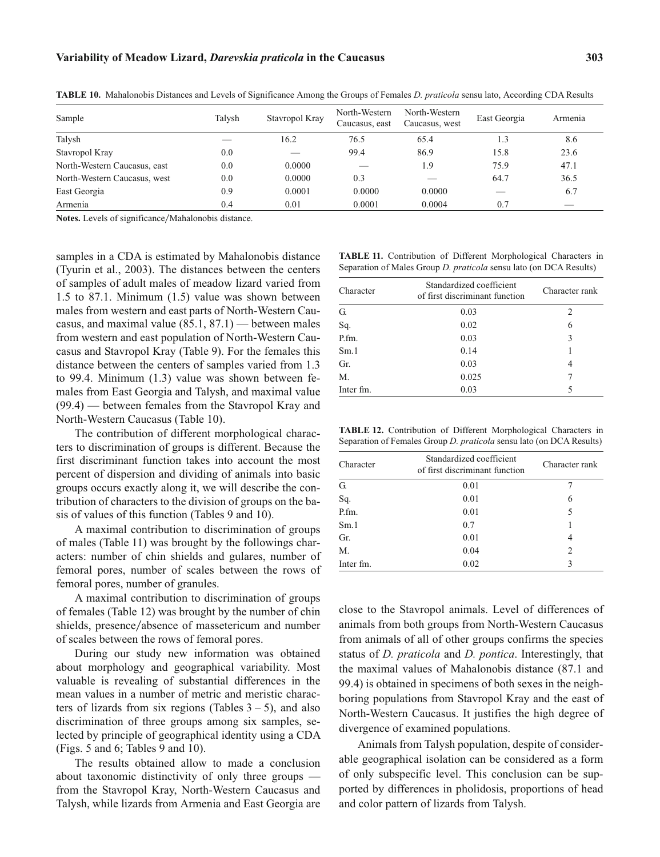| Sample                       | Talvsh | Stavropol Kray | North-Western<br>Caucasus, east | North-Western<br>Caucasus, west | East Georgia | Armenia |
|------------------------------|--------|----------------|---------------------------------|---------------------------------|--------------|---------|
| Talysh                       |        | 16.2           | 76.5                            | 65.4                            | 1.3          | 8.6     |
| Stavropol Kray               | 0.0    | _              | 99.4                            | 86.9                            | 15.8         | 23.6    |
| North-Western Caucasus, east | 0.0    | 0.0000         |                                 | 1.9                             | 75.9         | 47.1    |
| North-Western Caucasus, west | 0.0    | 0.0000         | 0.3                             |                                 | 64.7         | 36.5    |
| East Georgia                 | 0.9    | 0.0001         | 0.0000                          | 0.0000                          | __           | 6.7     |
| Armenia                      | 0.4    | 0.01           | 0.0001                          | 0.0004                          | 0.7          | _       |

**TABLE 10.** Mahalonobis Distances and Levels of Significance Among the Groups of Females *D. praticola* sensu lato, According CDA Results

Notes. Levels of significance/Mahalonobis distance.

samples in a CDA is estimated by Mahalonobis distance (Tyurin et al., 2003). The distances between the centers of samples of adult males of meadow lizard varied from 1.5 to 87.1. Minimum (1.5) value was shown between males from western and east parts of North-Western Caucasus, and maximal value (85.1, 87.1) — between males from western and east population of North-Western Caucasus and Stavropol Kray (Table 9). For the females this distance between the centers of samples varied from 1.3 to 99.4. Minimum (1.3) value was shown between females from East Georgia and Talysh, and maximal value (99.4) — between females from the Stavropol Kray and North-Western Caucasus (Table 10).

The contribution of different morphological characters to discrimination of groups is different. Because the first discriminant function takes into account the most percent of dispersion and dividing of animals into basic groups occurs exactly along it, we will describe the contribution of characters to the division of groups on the basis of values of this function (Tables 9 and 10).

A maximal contribution to discrimination of groups of males (Table 11) was brought by the followings characters: number of chin shields and gulares, number of femoral pores, number of scales between the rows of femoral pores, number of granules.

A maximal contribution to discrimination of groups of females (Table 12) was brought by the number of chin shields, presence/absence of massetericum and number of scales between the rows of femoral pores.

During our study new information was obtained about morphology and geographical variability. Most valuable is revealing of substantial differences in the mean values in a number of metric and meristic characters of lizards from six regions (Tables  $3 - 5$ ), and also discrimination of three groups among six samples, selected by principle of geographical identity using a CDA (Figs. 5 and 6; Tables 9 and 10).

The results obtained allow to made a conclusion about taxonomic distinctivity of only three groups from the Stavropol Kray, North-Western Caucasus and Talysh, while lizards from Armenia and East Georgia are

|  |  | <b>TABLE 11.</b> Contribution of Different Morphological Characters in    |  |
|--|--|---------------------------------------------------------------------------|--|
|  |  | Separation of Males Group <i>D. praticola</i> sensu lato (on DCA Results) |  |

| Character      | Standardized coefficient<br>of first discriminant function | Character rank |  |  |  |
|----------------|------------------------------------------------------------|----------------|--|--|--|
| G.             | 0.03                                                       | $\mathcal{L}$  |  |  |  |
| Sq.            | 0.02                                                       | 6              |  |  |  |
| $P_{\text{r}}$ | 0.03                                                       | 3              |  |  |  |
| Sm.1           | 0.14                                                       |                |  |  |  |
| Gr.            | 0.03                                                       | 4              |  |  |  |
| М.             | 0.025                                                      |                |  |  |  |
| Inter fm.      | 0.03                                                       | 5              |  |  |  |

**TABLE 12.** Contribution of Different Morphological Characters in Separation of Females Group *D. praticola* sensu lato (on DCA Results)

| Character | Standardized coefficient<br>of first discriminant function | Character rank |  |  |  |
|-----------|------------------------------------------------------------|----------------|--|--|--|
| G.        | 0.01                                                       |                |  |  |  |
| Sq.       | 0.01                                                       | 6              |  |  |  |
| P.fm.     | 0.01                                                       | 5              |  |  |  |
| Sm.1      | 0.7                                                        |                |  |  |  |
| Gr.       | 0.01                                                       | 4              |  |  |  |
| М.        | 0.04                                                       | 2              |  |  |  |
| Inter fm. | 0.02                                                       | 3              |  |  |  |

close to the Stavropol animals. Level of differences of animals from both groups from North-Western Caucasus from animals of all of other groups confirms the species status of *D. praticola* and *D. pontica*. Interestingly, that the maximal values of Mahalonobis distance (87.1 and 99.4) is obtained in specimens of both sexes in the neighboring populations from Stavropol Kray and the east of North-Western Caucasus. It justifies the high degree of divergence of examined populations.

Animals from Talysh population, despite of considerable geographical isolation can be considered as a form of only subspecific level. This conclusion can be supported by differences in pholidosis, proportions of head and color pattern of lizards from Talysh.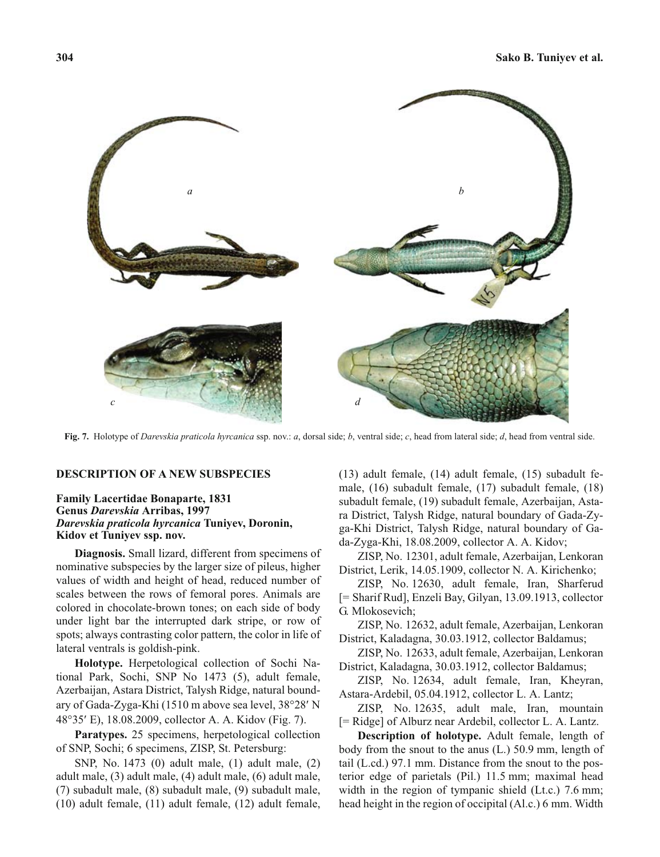

**Fig. 7.** Holotype of *Darevskia praticola hyrcanica* ssp. nov.: *a*, dorsal side; *b*, ventral side; *c*, head from lateral side; *d*, head from ventral side.

#### **DESCRIPTION OF A NEW SUBSPECIES**

### **Family Lacertidae Bonaparte, 1831 Genus** *Darevskia* **Arribas, 1997** *Darevskia praticola hyrcanica* **Tuniyev, Doronin, Kidov et Tuniyev ssp. nov.**

**Diagnosis.** Small lizard, different from specimens of nominative subspecies by the larger size of pileus, higher values of width and height of head, reduced number of scales between the rows of femoral pores. Animals are colored in chocolate-brown tones; on each side of body under light bar the interrupted dark stripe, or row of spots; always contrasting color pattern, the color in life of lateral ventrals is goldish-pink.

**Holotype.** Herpetological collection of Sochi National Park, Sochi, SNP No 1473 (5), adult female, Azerbaijan, Astara District, Talysh Ridge, natural bound-Azerbaijan, Astara District, Talysh Ridge, natural bound-<br>ary of Gada-Zyga-Khi (1510 m above sea level, 38°28' N<br>48°35' E), 18.08.2009, collector A. A. Kidov (Fig. 7). E), 18.08.2009, collector A. A. Kidov (Fig. 7).

**Paratypes.** 25 specimens, herpetological collection of SNP, Sochi; 6 specimens, ZISP, St. Petersburg:

SNP, No. 1473 (0) adult male, (1) adult male, (2) adult male, (3) adult male, (4) adult male, (6) adult male, (7) subadult male, (8) subadult male, (9) subadult male, (10) adult female, (11) adult female, (12) adult female, (13) adult female, (14) adult female, (15) subadult female, (16) subadult female, (17) subadult female, (18) subadult female, (19) subadult female, Azerbaijan, Astara District, Talysh Ridge, natural boundary of Gada-Zyga-Khi District, Talysh Ridge, natural boundary of Gada-Zyga-Khi, 18.08.2009, collector A. A. Kidov;

ZISP, No. 12301, adult female, Azerbaijan, Lenkoran District, Lerik, 14.05.1909, collector N. A. Kirichenko;

ZISP, No. 12630, adult female, Iran, Sharferud [= Sharif Rud], Enzeli Bay, Gilyan, 13.09.1913, collector G. Mlokosevich;

ZISP, No. 12632, adult female, Azerbaijan, Lenkoran District, Kaladagna, 30.03.1912, collector Baldamus;

ZISP, No. 12633, adult female, Azerbaijan, Lenkoran District, Kaladagna, 30.03.1912, collector Baldamus;

ZISP, No. 12634, adult female, Iran, Kheyran, Astara-Ardebil, 05.04.1912, collector L. A. Lantz;

ZISP, No. 12635, adult male, Iran, mountain [= Ridge] of Alburz near Ardebil, collector L. A. Lantz.

**Description of holotype.** Adult female, length of body from the snout to the anus (L.) 50.9 mm, length of tail (L.cd.) 97.1 mm. Distance from the snout to the posterior edge of parietals (Pil.) 11.5 mm; maximal head width in the region of tympanic shield (Lt.c.) 7.6 mm; head height in the region of occipital (Al.c.) 6 mm. Width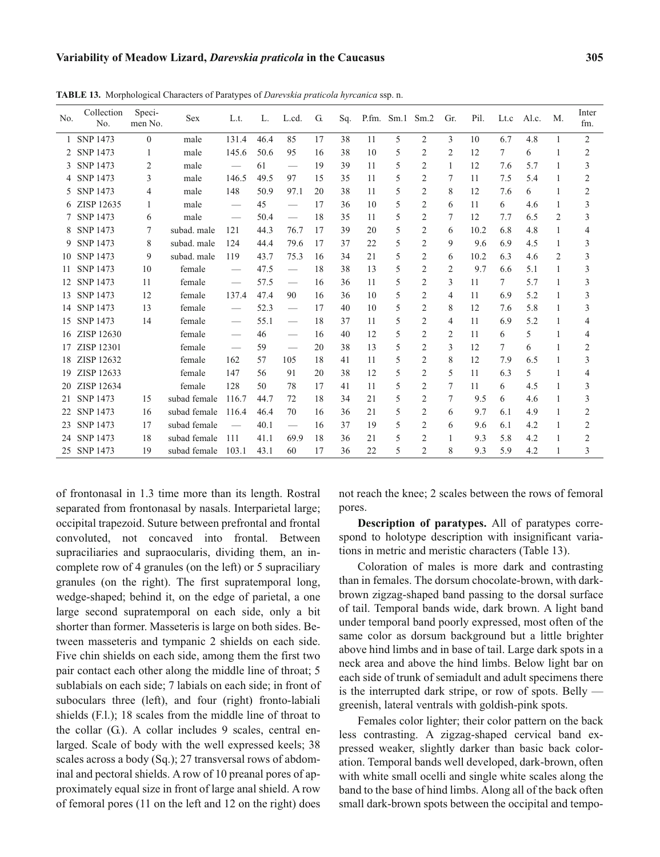| No.          | Collection<br>No. | Speci-<br>men No. | Sex          | L.t.                            | L.   | L.cd.                           | G. | Sq. |     | P.fm. Sm.1 Sm.2          |                | Gr.            | Pil. | Lt.c | Al.c. | M.             | Inter<br>fm.   |
|--------------|-------------------|-------------------|--------------|---------------------------------|------|---------------------------------|----|-----|-----|--------------------------|----------------|----------------|------|------|-------|----------------|----------------|
| $\mathbf{1}$ | <b>SNP 1473</b>   | $\theta$          | male         | 131.4                           | 46.4 | 85                              | 17 | 38  | 11  | 5                        | 2              | 3              | 10   | 6.7  | 4.8   | 1              | $\overline{c}$ |
| 2            | <b>SNP 1473</b>   | 1                 | male         | 145.6                           | 50.6 | 95                              | 16 | 38  | 10  | 5                        | $\overline{2}$ | $\overline{c}$ | 12   | 7    | 6     | 1              | $\overline{2}$ |
| 3            | <b>SNP 1473</b>   | 2                 | male         | $\hspace{0.1mm}-\hspace{0.1mm}$ | 61   | $\overbrace{\qquad \qquad }^{}$ | 19 | 39  | 11  | 5                        | $\overline{2}$ | 1              | 12   | 7.6  | 5.7   | 1              | 3              |
| 4            | <b>SNP 1473</b>   | 3                 | male         | 146.5                           | 49.5 | 97                              | 15 | 35  | 11  | 5                        | $\overline{2}$ | 7              | 11   | 7.5  | 5.4   | 1              | $\overline{2}$ |
| 5.           | <b>SNP 1473</b>   | 4                 | male         | 148                             | 50.9 | 97.1                            | 20 | 38  | 11  | 5                        | $\overline{2}$ | 8              | 12   | 7.6  | 6     | 1              | $\overline{2}$ |
| 6            | ZISP 12635        | 1                 | male         | $\qquad \qquad$                 | 45   | $\overbrace{\qquad \qquad }^{}$ | 17 | 36  | 10  | 5                        | 2              | 6              | 11   | 6    | 4.6   |                | 3              |
|              | <b>SNP 1473</b>   | 6                 | male         | $\hspace{0.1mm}-\hspace{0.1mm}$ | 50.4 | $\overbrace{\qquad \qquad }^{}$ | 18 | 35  | 11  | 5                        | 2              | 7              | 12   | 7.7  | 6.5   | 2              | 3              |
| 8            | <b>SNP 1473</b>   | 7                 | subad. male  | 121                             | 44.3 | 76.7                            | 17 | 39  | 20  | 5                        | $\mathfrak{2}$ | 6              | 10.2 | 6.8  | 4.8   | 1              | 4              |
| 9            | <b>SNP 1473</b>   | 8                 | subad, male  | 124                             | 44.4 | 79.6                            | 17 | 37  | 22  | 5                        | $\overline{2}$ | 9              | 9.6  | 6.9  | 4.5   | 1              | 3              |
| 10           | <b>SNP 1473</b>   | 9                 | subad. male  | 119                             | 43.7 | 75.3                            | 16 | 34  | 2.1 | $\overline{\phantom{1}}$ | 2              | 6              | 10.2 | 6.3  | 4.6   | $\mathfrak{D}$ | 3              |
| 11           | <b>SNP 1473</b>   | 10                | female       |                                 | 47.5 | $\overbrace{\qquad \qquad }^{}$ | 18 | 38  | 13  | 5                        | $\overline{2}$ | $\overline{c}$ | 9.7  | 6.6  | 5.1   | 1              | 3              |
| 12           | <b>SNP 1473</b>   | 11                | female       | $\overbrace{\qquad \qquad }^{}$ | 57.5 |                                 | 16 | 36  | 11  | 5                        | $\overline{2}$ | 3              | 11   | 7    | 5.7   | 1              | 3              |
| 13           | <b>SNP 1473</b>   | 12                | female       | 137.4                           | 47.4 | 90                              | 16 | 36  | 10  | 5                        | $\overline{2}$ | 4              | 11   | 6.9  | 5.2   | 1              | 3              |
| 14           | <b>SNP 1473</b>   | 13                | female       | $\qquad \qquad$                 | 52.3 | $\overbrace{\qquad \qquad }^{}$ | 17 | 40  | 10  | 5                        | $\overline{2}$ | 8              | 12   | 7.6  | 5.8   | 1              | 3              |
| 15           | <b>SNP 1473</b>   | 14                | female       | $\overline{\phantom{m}}$        | 55.1 | $\overbrace{\qquad \qquad }^{}$ | 18 | 37  | 11  | 5                        | $\overline{2}$ | 4              | 11   | 6.9  | 5.2   | 1              | 4              |
| 16           | ZISP 12630        |                   | female       | $\qquad \qquad$                 | 46   | $\overbrace{\qquad \qquad }^{}$ | 16 | 40  | 12  | 5                        | $\overline{2}$ | $\overline{2}$ | 11   | 6    | 5     | 1              | 4              |
| 17           | ZISP 12301        |                   | female       |                                 | 59   | $\hspace{0.1mm}-\hspace{0.1mm}$ | 20 | 38  | 13  | 5                        | $\overline{2}$ | 3              | 12   | 7    | 6     |                | $\overline{2}$ |
| 18           | ZISP 12632        |                   | female       | 162                             | 57   | 105                             | 18 | 41  | 11  | 5                        | $\overline{2}$ | 8              | 12   | 7.9  | 6.5   | 1              | 3              |
| 19           | ZISP 12633        |                   | female       | 147                             | 56   | 91                              | 20 | 38  | 12  | 5                        | $\overline{2}$ | 5              | 11   | 6.3  | 5     | 1              | 4              |
| 20           | ZISP 12634        |                   | female       | 128                             | 50   | 78                              | 17 | 41  | 11  | 5                        | $\mathfrak{2}$ | 7              | 11   | 6    | 4.5   |                | 3              |
| 21           | <b>SNP 1473</b>   | 15                | subad female | 116.7                           | 44.7 | 72                              | 18 | 34  | 21  | 5                        | $\overline{2}$ | 7              | 9.5  | 6    | 4.6   | 1              | 3              |
| 22           | <b>SNP 1473</b>   | 16                | subad female | 116.4                           | 46.4 | 70                              | 16 | 36  | 21  | 5                        | $\overline{2}$ | 6              | 9.7  | 6.1  | 4.9   | 1              | $\overline{2}$ |
| 23           | <b>SNP 1473</b>   | 17                | subad female | $\qquad \qquad$                 | 40.1 |                                 | 16 | 37  | 19  | 5                        | $\overline{2}$ | 6              | 9.6  | 6.1  | 4.2   | 1              | $\overline{2}$ |
| 24           | <b>SNP 1473</b>   | 18                | subad female | 111                             | 41.1 | 69.9                            | 18 | 36  | 21  | 5                        | $\overline{2}$ | 1              | 9.3  | 5.8  | 4.2   | 1              | $\overline{2}$ |
| 25           | SNP 1473          | 19                | subad female | 103.1                           | 43.1 | 60                              | 17 | 36  | 22  | 5                        | $\overline{c}$ | 8              | 9.3  | 5.9  | 4.2   |                | 3              |

**TABLE 13.** Morphological Characters of Paratypes of *Darevskia praticola hyrcanica* ssp. n.

of frontonasal in 1.3 time more than its length. Rostral separated from frontonasal by nasals. Interparietal large; occipital trapezoid. Suture between prefrontal and frontal convoluted, not concaved into frontal. Between supraciliaries and supraocularis, dividing them, an incomplete row of 4 granules (on the left) or 5 supraciliary granules (on the right). The first supratemporal long, wedge-shaped; behind it, on the edge of parietal, a one large second supratemporal on each side, only a bit shorter than former. Masseteris is large on both sides. Between masseteris and tympanic 2 shields on each side. Five chin shields on each side, among them the first two pair contact each other along the middle line of throat; 5 sublabials on each side; 7 labials on each side; in front of suboculars three (left), and four (right) fronto-labiali shields (F.l.); 18 scales from the middle line of throat to the collar (G.). A collar includes 9 scales, central enlarged. Scale of body with the well expressed keels; 38 scales across a body (Sq.); 27 transversal rows of abdominal and pectoral shields. A row of 10 preanal pores of approximately equal size in front of large anal shield. A row of femoral pores (11 on the left and 12 on the right) does

not reach the knee; 2 scales between the rows of femoral pores.

**Description of paratypes.** All of paratypes correspond to holotype description with insignificant variations in metric and meristic characters (Table 13).

Coloration of males is more dark and contrasting than in females. The dorsum chocolate-brown, with darkbrown zigzag-shaped band passing to the dorsal surface of tail. Temporal bands wide, dark brown. A light band under temporal band poorly expressed, most often of the same color as dorsum background but a little brighter above hind limbs and in base of tail. Large dark spots in a neck area and above the hind limbs. Below light bar on each side of trunk of semiadult and adult specimens there is the interrupted dark stripe, or row of spots. Belly greenish, lateral ventrals with goldish-pink spots.

Females color lighter; their color pattern on the back less contrasting. A zigzag-shaped cervical band expressed weaker, slightly darker than basic back coloration. Temporal bands well developed, dark-brown, often with white small ocelli and single white scales along the band to the base of hind limbs. Along all of the back often small dark-brown spots between the occipital and tempo-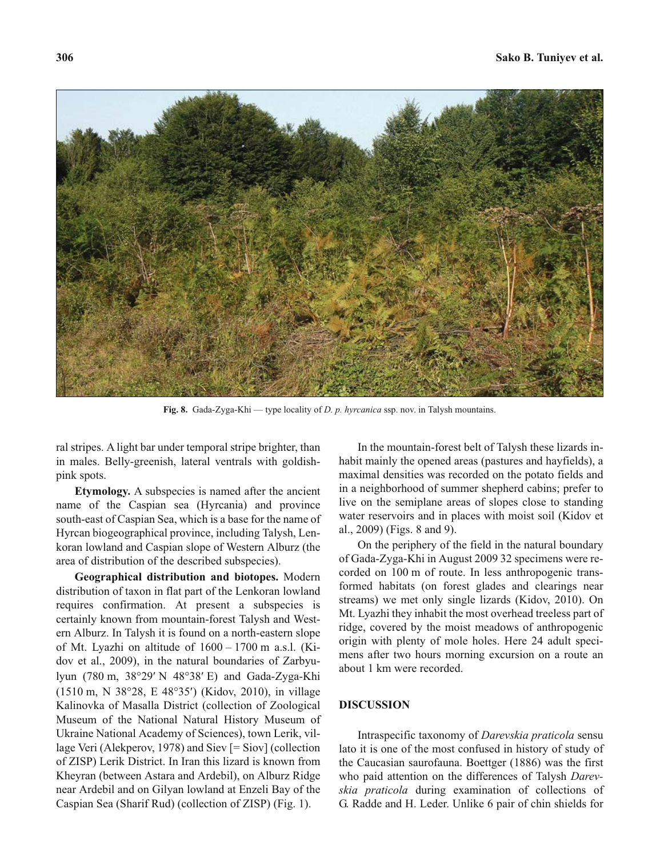

**Fig. 8.** Gada-Zyga-Khi — type locality of *D. p. hyrcanica* ssp. nov. in Talysh mountains.

ral stripes. A light bar under temporal stripe brighter, than in males. Belly-greenish, lateral ventrals with goldishpink spots.

**Etymology.** A subspecies is named after the ancient name of the Caspian sea (Hyrcania) and province south-east of Caspian Sea, which is a base for the name of Hyrcan biogeographical province, including Talysh, Lenkoran lowland and Caspian slope of Western Alburz (the area of distribution of the described subspecies).

**Geographical distribution and biotopes.** Modern distribution of taxon in flat part of the Lenkoran lowland requires confirmation. At present a subspecies is certainly known from mountain-forest Talysh and Western Alburz. In Talysh it is found on a north-eastern slope of Mt. Lyazhi on altitude of 1600 – 1700 m a.s.l. (Kidov et al., 2009), in the natural boundaries of Zarbyudov et al., 2009), in the natural boundaries of Zarbyu-<br>lyun (780 m, 38°29' N 48°38' E) and Gada-Zyga-Khi<br>(1510 m, N 38°28, E 48°35') (Kidov, 2010), in village (1510 m, N 38°28, E 48°35') (Kidov, 2010), in village Kalinovka of Masalla District (collection of Zoological Museum of the National Natural History Museum of Ukraine National Academy of Sciences), town Lerik, village Veri (Alekperov, 1978) and Siev [= Siov] (collection of ZISP) Lerik District. In Iran this lizard is known from Kheyran (between Astara and Ardebil), on Alburz Ridge near Ardebil and on Gilyan lowland at Enzeli Bay of the Caspian Sea (Sharif Rud) (collection of ZISP) (Fig. 1).

In the mountain-forest belt of Talysh these lizards inhabit mainly the opened areas (pastures and hayfields), a maximal densities was recorded on the potato fields and in a neighborhood of summer shepherd cabins; prefer to live on the semiplane areas of slopes close to standing water reservoirs and in places with moist soil (Kidov et al., 2009) (Figs. 8 and 9).

On the periphery of the field in the natural boundary of Gada-Zyga-Khi in August 2009 32 specimens were recorded on 100 m of route. In less anthropogenic transformed habitats (on forest glades and clearings near streams) we met only single lizards (Kidov, 2010). On Mt. Lyazhi they inhabit the most overhead treeless part of ridge, covered by the moist meadows of anthropogenic origin with plenty of mole holes. Here 24 adult specimens after two hours morning excursion on a route an about 1 km were recorded.

#### **DISCUSSION**

Intraspecific taxonomy of *Darevskia praticola* sensu lato it is one of the most confused in history of study of the Caucasian saurofauna. Boettger (1886) was the first who paid attention on the differences of Talysh *Darevskia praticola* during examination of collections of G. Radde and H. Leder. Unlike 6 pair of chin shields for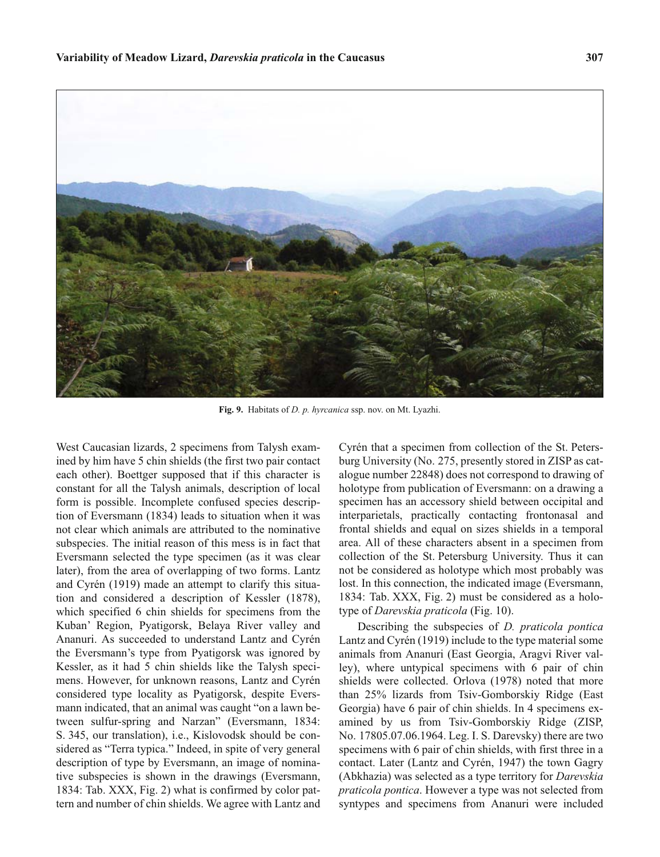

**Fig. 9.** Habitats of *D. p. hyrcanica* ssp. nov. on Mt. Lyazhi.

West Caucasian lizards, 2 specimens from Talysh examined by him have 5 chin shields (the first two pair contact each other). Boettger supposed that if this character is constant for all the Talysh animals, description of local form is possible. Incomplete confused species description of Eversmann (1834) leads to situation when it was not clear which animals are attributed to the nominative subspecies. The initial reason of this mess is in fact that Eversmann selected the type specimen (as it was clear later), from the area of overlapping of two forms. Lantz and Cyrén (1919) made an attempt to clarify this situation and considered a description of Kessler (1878), which specified 6 chin shields for specimens from the Kuban' Region, Pyatigorsk, Belaya River valley and Ananuri. As succeeded to understand Lantz and Cyrén the Eversmann's type from Pyatigorsk was ignored by Kessler, as it had 5 chin shields like the Talysh specimens. However, for unknown reasons, Lantz and Cyrén considered type locality as Pyatigorsk, despite Eversmann indicated, that an animal was caught "on a lawn between sulfur-spring and Narzan" (Eversmann, 1834: S. 345, our translation), i.e., Kislovodsk should be considered as "Terra typica." Indeed, in spite of very general description of type by Eversmann, an image of nominative subspecies is shown in the drawings (Eversmann, 1834: Tab. XXX, Fig. 2) what is confirmed by color pattern and number of chin shields. We agree with Lantz and

Cyrén that a specimen from collection of the St. Petersburg University (No. 275, presently stored in ZISP as catalogue number 22848) does not correspond to drawing of holotype from publication of Eversmann: on a drawing a specimen has an accessory shield between occipital and interparietals, practically contacting frontonasal and frontal shields and equal on sizes shields in a temporal area. All of these characters absent in a specimen from collection of the St. Petersburg University. Thus it can not be considered as holotype which most probably was lost. In this connection, the indicated image (Eversmann, 1834: Tab. XXX, Fig. 2) must be considered as a holotype of *Darevskia praticola* (Fig. 10).

Describing the subspecies of *D. praticola pontica* Lantz and Cyrén (1919) include to the type material some animals from Ananuri (East Georgia, Aragvi River valley), where untypical specimens with 6 pair of chin shields were collected. Orlova (1978) noted that more than 25% lizards from Tsiv-Gomborskiy Ridge (East Georgia) have 6 pair of chin shields. In 4 specimens examined by us from Tsiv-Gomborskiy Ridge (ZISP, No. 17805.07.06.1964. Leg. I. S. Darevsky) there are two specimens with 6 pair of chin shields, with first three in a contact. Later (Lantz and Cyrén, 1947) the town Gagry (Abkhazia) was selected as a type territory for *Darevskia praticola pontica*. However a type was not selected from syntypes and specimens from Ananuri were included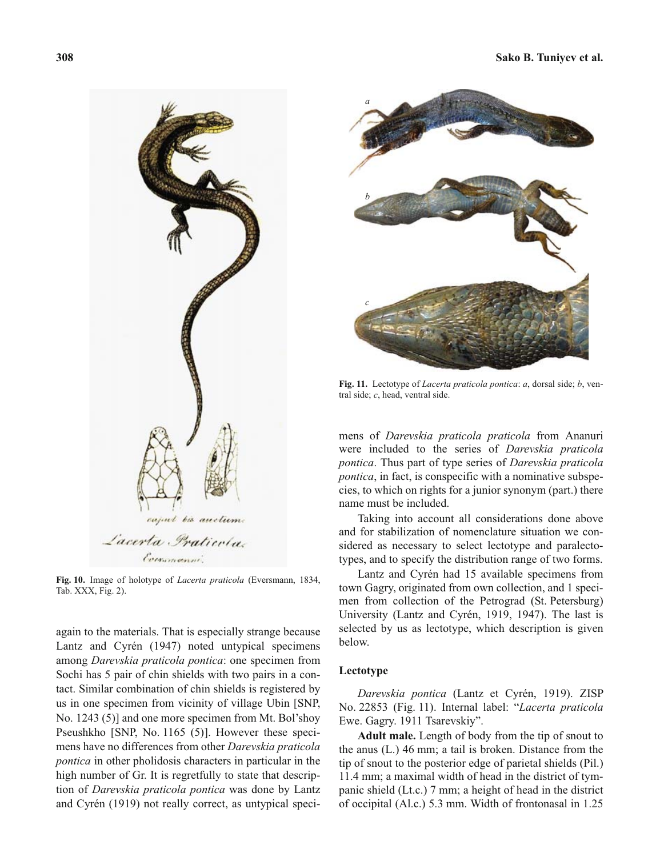

**Fig. 10.** Image of holotype of *Lacerta praticola* (Eversmann, 1834, Tab. XXX, Fig. 2).

again to the materials. That is especially strange because Lantz and Cyrén (1947) noted untypical specimens among *Darevskia praticola pontica*: one specimen from Sochi has 5 pair of chin shields with two pairs in a contact. Similar combination of chin shields is registered by us in one specimen from vicinity of village Ubin [SNP, No. 1243 (5)] and one more specimen from Mt. Bol'shoy Pseushkho [SNP, No. 1165 (5)]. However these specimens have no differences from other *Darevskia praticola pontica* in other pholidosis characters in particular in the high number of Gr. It is regretfully to state that description of *Darevskia praticola pontica* was done by Lantz and Cyrén (1919) not really correct, as untypical speci-



**Fig. 11.** Lectotype of *Lacerta praticola pontica*: *a*, dorsal side; *b*, ventral side; *c*, head, ventral side.

mens of *Darevskia praticola praticola* from Ananuri were included to the series of *Darevskia praticola pontica*. Thus part of type series of *Darevskia praticola pontica*, in fact, is conspecific with a nominative subspecies, to which on rights for a junior synonym (part.) there name must be included.

Taking into account all considerations done above and for stabilization of nomenclature situation we considered as necessary to select lectotype and paralectotypes, and to specify the distribution range of two forms.

Lantz and Cyrén had 15 available specimens from town Gagry, originated from own collection, and 1 specimen from collection of the Petrograd (St. Petersburg) University (Lantz and Cyrén, 1919, 1947). The last is selected by us as lectotype, which description is given below.

#### **Lectotype**

*Darevskia pontica* (Lantz et Cyrén, 1919). ZISP No. 22853 (Fig. 11). Internal label: "*Lacerta praticola* Ewe. Gagry. 1911 Tsarevskiy".

**Adult male.** Length of body from the tip of snout to the anus (L.) 46 mm; a tail is broken. Distance from the tip of snout to the posterior edge of parietal shields (Pil.) 11.4 mm; a maximal width of head in the district of tympanic shield (Lt.c.) 7 mm; a height of head in the district of occipital (Al.c.) 5.3 mm. Width of frontonasal in 1.25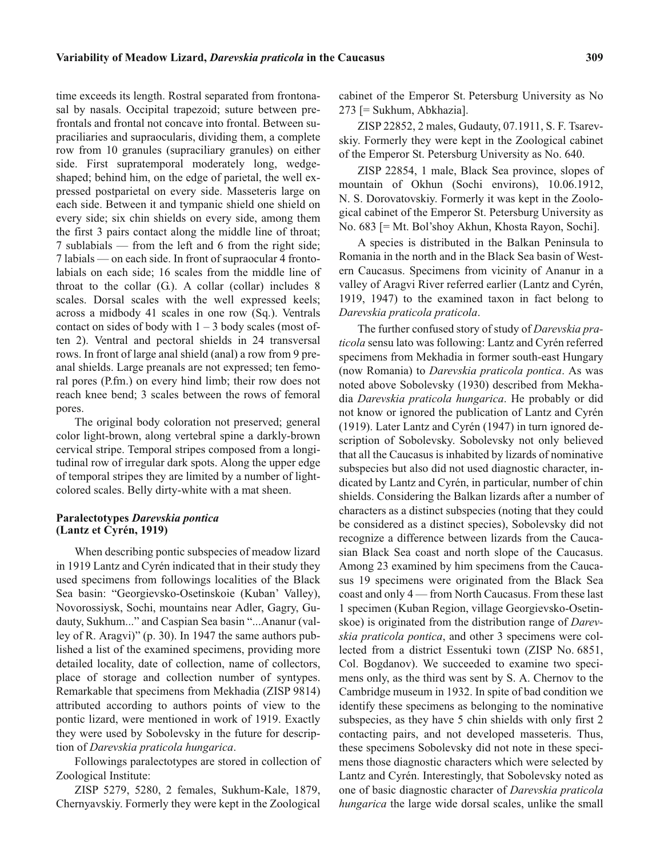time exceeds its length. Rostral separated from frontonasal by nasals. Occipital trapezoid; suture between prefrontals and frontal not concave into frontal. Between supraciliaries and supraocularis, dividing them, a complete row from 10 granules (supraciliary granules) on either side. First supratemporal moderately long, wedgeshaped; behind him, on the edge of parietal, the well expressed postparietal on every side. Masseteris large on each side. Between it and tympanic shield one shield on every side; six chin shields on every side, among them the first 3 pairs contact along the middle line of throat; 7 sublabials — from the left and 6 from the right side; 7 labials — on each side. In front of supraocular 4 frontolabials on each side; 16 scales from the middle line of throat to the collar  $(G)$ . A collar (collar) includes 8 scales. Dorsal scales with the well expressed keels; across a midbody 41 scales in one row (Sq.). Ventrals contact on sides of body with  $1 - 3$  body scales (most often 2). Ventral and pectoral shields in 24 transversal rows. In front of large anal shield (anal) a row from 9 preanal shields. Large preanals are not expressed; ten femoral pores (P.fm.) on every hind limb; their row does not reach knee bend; 3 scales between the rows of femoral pores.

The original body coloration not preserved; general color light-brown, along vertebral spine a darkly-brown cervical stripe. Temporal stripes composed from a longitudinal row of irregular dark spots. Along the upper edge of temporal stripes they are limited by a number of lightcolored scales. Belly dirty-white with a mat sheen.

### **Paralectotypes** *Darevskia pontica* **(Lantz et Cyrén, 1919)**

When describing pontic subspecies of meadow lizard in 1919 Lantz and Cyrén indicated that in their study they used specimens from followings localities of the Black Sea basin: "Georgievsko-Osetinskoie (Kuban' Valley), Novorossiysk, Sochi, mountains near Adler, Gagry, Gudauty, Sukhum..." and Caspian Sea basin "...Ananur (valley of R. Aragvi)" (p. 30). In 1947 the same authors published a list of the examined specimens, providing more detailed locality, date of collection, name of collectors, place of storage and collection number of syntypes. Remarkable that specimens from Mekhadia (ZISP 9814) attributed according to authors points of view to the pontic lizard, were mentioned in work of 1919. Exactly they were used by Sobolevsky in the future for description of *Darevskia praticola hungarica*.

Followings paralectotypes are stored in collection of Zoological Institute:

ZISP 5279, 5280, 2 females, Sukhum-Kale, 1879, Chernyavskiy. Formerly they were kept in the Zoological cabinet of the Emperor St. Petersburg University as No 273 [= Sukhum, Abkhazia].

ZISP 22852, 2 males, Gudauty, 07.1911, S. F. Tsarevskiy. Formerly they were kept in the Zoological cabinet of the Emperor St. Petersburg University as No. 640.

ZISP 22854, 1 male, Black Sea province, slopes of mountain of Okhun (Sochi environs), 10.06.1912, N. S. Dorovatovskiy. Formerly it was kept in the Zoological cabinet of the Emperor St. Petersburg University as No. 683 [= Mt. Bol'shoy Akhun, Khosta Rayon, Sochi].

A species is distributed in the Balkan Peninsula to Romania in the north and in the Black Sea basin of Western Caucasus. Specimens from vicinity of Ananur in a valley of Aragvi River referred earlier (Lantz and Cyrén, 1919, 1947) to the examined taxon in fact belong to *Darevskia praticola praticola*.

The further confused story of study of *Darevskia praticola* sensu lato was following: Lantz and Cyrén referred specimens from Mekhadia in former south-east Hungary (now Romania) to *Darevskia praticola pontica*. As was noted above Sobolevsky (1930) described from Mekhadia *Darevskia praticola hungarica*. He probably or did not know or ignored the publication of Lantz and Cyrén (1919). Later Lantz and Cyrén (1947) in turn ignored description of Sobolevsky. Sobolevsky not only believed that all the Caucasus is inhabited by lizards of nominative subspecies but also did not used diagnostic character, indicated by Lantz and Cyrén, in particular, number of chin shields. Considering the Balkan lizards after a number of characters as a distinct subspecies (noting that they could be considered as a distinct species), Sobolevsky did not recognize a difference between lizards from the Caucasian Black Sea coast and north slope of the Caucasus. Among 23 examined by him specimens from the Caucasus 19 specimens were originated from the Black Sea coast and only 4 — from North Caucasus. From these last 1 specimen (Kuban Region, village Georgievsko-Osetinskoe) is originated from the distribution range of *Darevskia praticola pontica*, and other 3 specimens were collected from a district Essentuki town (ZISP No. 6851, Col. Bogdanov). We succeeded to examine two specimens only, as the third was sent by S. A. Chernov to the Cambridge museum in 1932. In spite of bad condition we identify these specimens as belonging to the nominative subspecies, as they have 5 chin shields with only first 2 contacting pairs, and not developed masseteris. Thus, these specimens Sobolevsky did not note in these specimens those diagnostic characters which were selected by Lantz and Cyrén. Interestingly, that Sobolevsky noted as one of basic diagnostic character of *Darevskia praticola hungarica* the large wide dorsal scales, unlike the small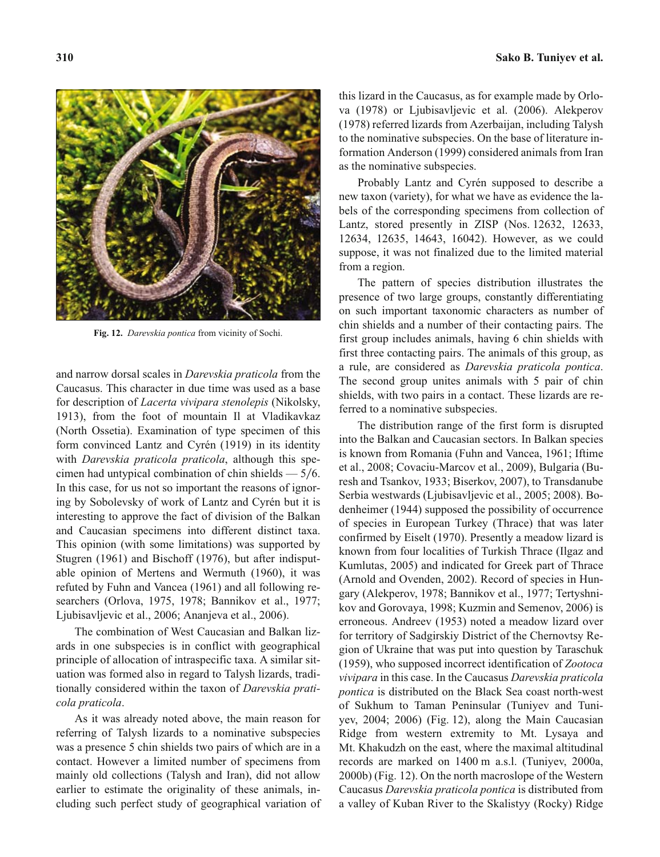**310 Sako B. Tuniyev et al.**



**Fig. 12.** *Darevskia pontica* from vicinity of Sochi.

and narrow dorsal scales in *Darevskia praticola* from the Caucasus. This character in due time was used as a base for description of *Lacerta vivipara stenolepis* (Nikolsky, 1913), from the foot of mountain Il at Vladikavkaz (North Ossetia). Examination of type specimen of this form convinced Lantz and Cyrén (1919) in its identity with *Darevskia praticola praticola*, although this specimen had untypical combination of chin shields  $-5/6$ . In this case, for us not so important the reasons of ignoring by Sobolevsky of work of Lantz and Cyrén but it is interesting to approve the fact of division of the Balkan and Caucasian specimens into different distinct taxa. This opinion (with some limitations) was supported by Stugren (1961) and Bischoff (1976), but after indisputable opinion of Mertens and Wermuth (1960), it was refuted by Fuhn and Vancea (1961) and all following researchers (Orlova, 1975, 1978; Bannikov et al., 1977; Ljubisavljevic et al., 2006; Ananjeva et al., 2006).

The combination of West Caucasian and Balkan lizards in one subspecies is in conflict with geographical principle of allocation of intraspecific taxa. A similar situation was formed also in regard to Talysh lizards, traditionally considered within the taxon of *Darevskia praticola praticola*.

As it was already noted above, the main reason for referring of Talysh lizards to a nominative subspecies was a presence 5 chin shields two pairs of which are in a contact. However a limited number of specimens from mainly old collections (Talysh and Iran), did not allow earlier to estimate the originality of these animals, including such perfect study of geographical variation of this lizard in the Caucasus, as for example made by Orlova (1978) or Ljubisavljevic et al. (2006). Alekperov (1978) referred lizards from Azerbaijan, including Talysh to the nominative subspecies. On the base of literature information Anderson (1999) considered animals from Iran as the nominative subspecies.

Probably Lantz and Cyrén supposed to describe a new taxon (variety), for what we have as evidence the labels of the corresponding specimens from collection of Lantz, stored presently in ZISP (Nos. 12632, 12633, 12634, 12635, 14643, 16042). However, as we could suppose, it was not finalized due to the limited material from a region.

The pattern of species distribution illustrates the presence of two large groups, constantly differentiating on such important taxonomic characters as number of chin shields and a number of their contacting pairs. The first group includes animals, having 6 chin shields with first three contacting pairs. The animals of this group, as a rule, are considered as *Darevskia praticola pontica*. The second group unites animals with 5 pair of chin shields, with two pairs in a contact. These lizards are referred to a nominative subspecies.

The distribution range of the first form is disrupted into the Balkan and Caucasian sectors. In Balkan species is known from Romania (Fuhn and Vancea, 1961; Iftime et al., 2008; Covaciu-Marcov et al., 2009), Bulgaria (Buresh and Tsankov, 1933; Biserkov, 2007), to Transdanube Serbia westwards (Ljubisavljevic et al., 2005; 2008). Bodenheimer (1944) supposed the possibility of occurrence of species in European Turkey (Thrace) that was later confirmed by Eiselt (1970). Presently a meadow lizard is known from four localities of Turkish Thrace (Ilgaz and Kumlutas, 2005) and indicated for Greek part of Thrace (Arnold and Ovenden, 2002). Record of species in Hungary (Alekperov, 1978; Bannikov et al., 1977; Tertyshnikov and Gorovaya, 1998; Kuzmin and Semenov, 2006) is erroneous. Andreev (1953) noted a meadow lizard over for territory of Sadgirskiy District of the Chernovtsy Region of Ukraine that was put into question by Taraschuk (1959), who supposed incorrect identification of *Zootoca vivipara* in this case. In the Caucasus *Darevskia praticola pontica* is distributed on the Black Sea coast north-west of Sukhum to Taman Peninsular (Tuniyev and Tuniyev, 2004; 2006) (Fig. 12), along the Main Caucasian Ridge from western extremity to Mt. Lysaya and Mt. Khakudzh on the east, where the maximal altitudinal records are marked on 1400 m a.s.l. (Tuniyev, 2000a, 2000b) (Fig. 12). On the north macroslope of the Western Caucasus *Darevskia praticola pontica* is distributed from a valley of Kuban River to the Skalistyy (Rocky) Ridge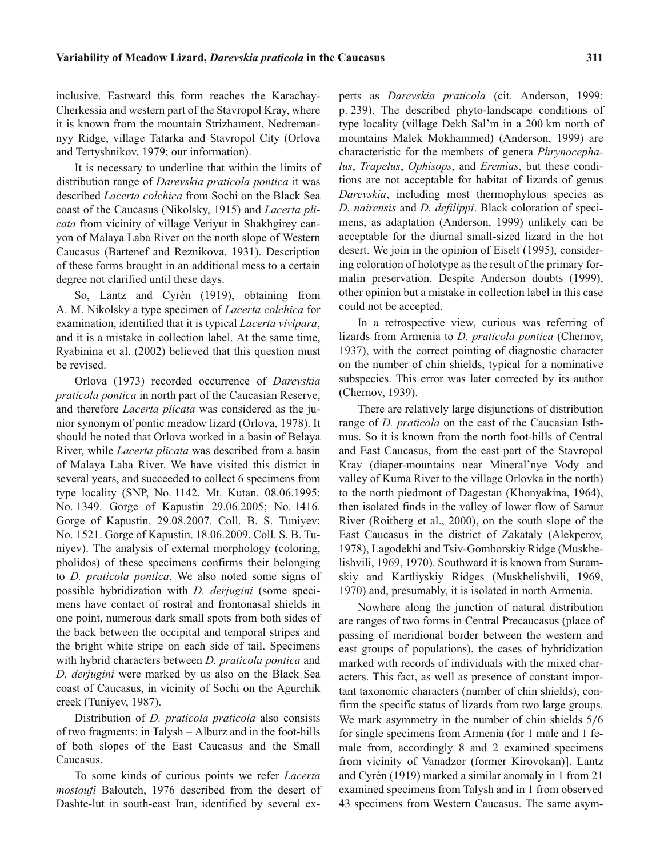inclusive. Eastward this form reaches the Karachay-Cherkessia and western part of the Stavropol Kray, where it is known from the mountain Strizhament, Nedremannyy Ridge, village Tatarka and Stavropol City (Orlova and Tertyshnikov, 1979; our information).

It is necessary to underline that within the limits of distribution range of *Darevskia praticola pontica* it was described *Lacerta colchica* from Sochi on the Black Sea coast of the Caucasus (Nikolsky, 1915) and *Lacerta plicata* from vicinity of village Veriyut in Shakhgirey canyon of Malaya Laba River on the north slope of Western Caucasus (Bartenef and Reznikova, 1931). Description of these forms brought in an additional mess to a certain degree not clarified until these days.

So, Lantz and Cyrén (1919), obtaining from A. M. Nikolsky a type specimen of *Lacerta colchica* for examination, identified that it is typical *Lacerta vivipara*, and it is a mistake in collection label. At the same time, Ryabinina et al. (2002) believed that this question must be revised.

Orlova (1973) recorded occurrence of *Darevskia praticola pontica* in north part of the Caucasian Reserve, and therefore *Lacerta plicata* was considered as the junior synonym of pontic meadow lizard (Orlova, 1978). It should be noted that Orlova worked in a basin of Belaya River, while *Lacerta plicata* was described from a basin of Malaya Laba River. We have visited this district in several years, and succeeded to collect 6 specimens from type locality (SNP, No. 1142. Mt. Kutan. 08.06.1995; No. 1349. Gorge of Kapustin 29.06.2005; No. 1416. Gorge of Kapustin. 29.08.2007. Coll. B. S. Tuniyev; No. 1521. Gorge of Kapustin. 18.06.2009. Coll. S. B. Tuniyev). The analysis of external morphology (coloring, pholidos) of these specimens confirms their belonging to *D. praticola pontica*. We also noted some signs of possible hybridization with *D. derjugini* (some specimens have contact of rostral and frontonasal shields in one point, numerous dark small spots from both sides of the back between the occipital and temporal stripes and the bright white stripe on each side of tail. Specimens with hybrid characters between *D. praticola pontica* and *D. derjugini* were marked by us also on the Black Sea coast of Caucasus, in vicinity of Sochi on the Agurchik creek (Tuniyev, 1987).

Distribution of *D. praticola praticola* also consists of two fragments: in Talysh – Alburz and in the foot-hills of both slopes of the East Caucasus and the Small Caucasus.

To some kinds of curious points we refer *Lacerta mostoufi* Baloutch, 1976 described from the desert of Dashte-lut in south-east Iran, identified by several experts as *Darevskia praticola* (cit. Anderson, 1999: p. 239). The described phyto-landscape conditions of type locality (village Dekh Sal'm in a 200 km north of mountains Malek Mokhammed) (Anderson, 1999) are characteristic for the members of genera *Phrynocephalus*, *Trapelus*, *Ophisops*, and *Eremias*, but these conditions are not acceptable for habitat of lizards of genus *Darevskia*, including most thermophylous species as *D. nairensis* and *D. defilippi*. Black coloration of specimens, as adaptation (Anderson, 1999) unlikely can be acceptable for the diurnal small-sized lizard in the hot desert. We join in the opinion of Eiselt (1995), considering coloration of holotype as the result of the primary formalin preservation. Despite Anderson doubts (1999), other opinion but a mistake in collection label in this case could not be accepted.

In a retrospective view, curious was referring of lizards from Armenia to *D. praticola pontica* (Chernov, 1937), with the correct pointing of diagnostic character on the number of chin shields, typical for a nominative subspecies. This error was later corrected by its author (Chernov, 1939).

There are relatively large disjunctions of distribution range of *D. praticola* on the east of the Caucasian Isthmus. So it is known from the north foot-hills of Central and East Caucasus, from the east part of the Stavropol Kray (diaper-mountains near Mineral'nye Vody and valley of Kuma River to the village Orlovka in the north) to the north piedmont of Dagestan (Khonyakina, 1964), then isolated finds in the valley of lower flow of Samur River (Roitberg et al., 2000), on the south slope of the East Caucasus in the district of Zakataly (Alekperov, 1978), Lagodekhi and Tsiv-Gomborskiy Ridge (Muskhelishvili, 1969, 1970). Southward it is known from Suramskiy and Kartliyskiy Ridges (Muskhelishvili, 1969, 1970) and, presumably, it is isolated in north Armenia.

Nowhere along the junction of natural distribution are ranges of two forms in Central Precaucasus (place of passing of meridional border between the western and east groups of populations), the cases of hybridization marked with records of individuals with the mixed characters. This fact, as well as presence of constant important taxonomic characters (number of chin shields), confirm the specific status of lizards from two large groups. We mark asymmetry in the number of chin shields 5/6 for single specimens from Armenia (for 1 male and 1 female from, accordingly 8 and 2 examined specimens from vicinity of Vanadzor (former Kirovokan)]. Lantz and Cyrén (1919) marked a similar anomaly in 1 from 21 examined specimens from Talysh and in 1 from observed 43 specimens from Western Caucasus. The same asym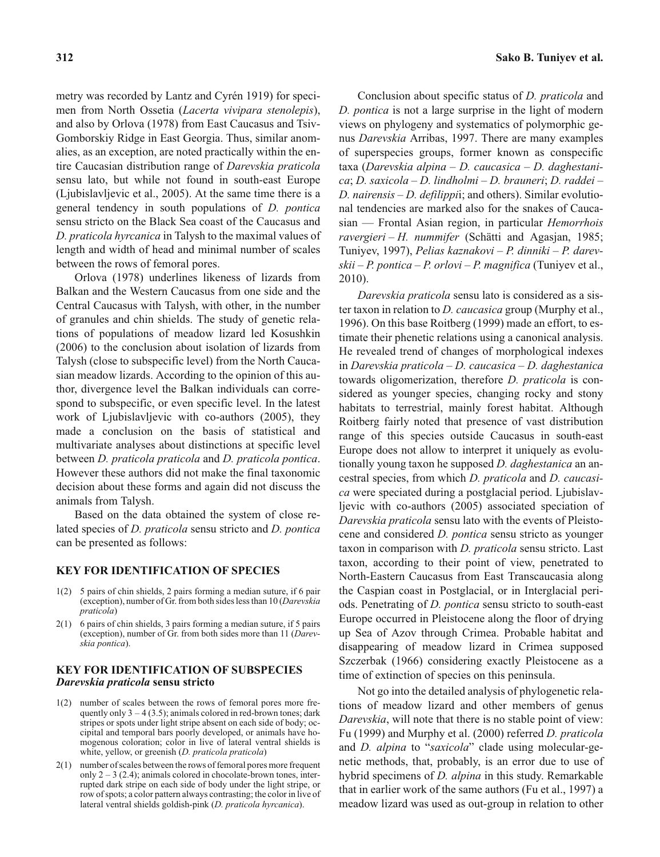metry was recorded by Lantz and Cyrén 1919) for specimen from North Ossetia (*Lacerta vivipara stenolepis*), and also by Orlova (1978) from East Caucasus and Tsiv-Gomborskiy Ridge in East Georgia. Thus, similar anomalies, as an exception, are noted practically within the entire Caucasian distribution range of *Darevskia praticola* sensu lato, but while not found in south-east Europe (Ljubislavljevic et al., 2005). At the same time there is a general tendency in south populations of *D. pontica* sensu stricto on the Black Sea coast of the Caucasus and *D. praticola hyrcanica* in Talysh to the maximal values of length and width of head and minimal number of scales between the rows of femoral pores.

Orlova (1978) underlines likeness of lizards from Balkan and the Western Caucasus from one side and the Central Caucasus with Talysh, with other, in the number of granules and chin shields. The study of genetic relations of populations of meadow lizard led Kosushkin (2006) to the conclusion about isolation of lizards from Talysh (close to subspecific level) from the North Caucasian meadow lizards. According to the opinion of this author, divergence level the Balkan individuals can correspond to subspecific, or even specific level. In the latest work of Ljubislavljevic with co-authors (2005), they made a conclusion on the basis of statistical and multivariate analyses about distinctions at specific level between *D. praticola praticola* and *D. praticola pontica*. However these authors did not make the final taxonomic decision about these forms and again did not discuss the animals from Talysh.

Based on the data obtained the system of close related species of *D. praticola* sensu stricto and *D. pontica* can be presented as follows:

## **KEY FOR IDENTIFICATION OF SPECIES**

- 1(2) 5 pairs of chin shields, 2 pairs forming a median suture, if 6 pair (exception), number of Gr. from both sides less than 10 (*Darevskia praticola*)
- 2(1) 6 pairs of chin shields, 3 pairs forming a median suture, if 5 pairs (exception), number of Gr. from both sides more than 11 (*Darevskia pontica*).

### **KEY FOR IDENTIFICATION OF SUBSPECIES** *Darevskia praticola* **sensu stricto**

- 1(2) number of scales between the rows of femoral pores more frequently only  $3 - 4 (3.5)$ ; animals colored in red-brown tones; dark stripes or spots under light stripe absent on each side of body; occipital and temporal bars poorly developed, or animals have homogenous coloration; color in live of lateral ventral shields is white, yellow, or greenish (*D. praticola praticola*)
- 2(1) number of scales between the rows of femoral pores more frequent only  $2 - 3$  (2.4); animals colored in chocolate-brown tones, interrupted dark stripe on each side of body under the light stripe, or row of spots; a color pattern always contrasting; the color in live of lateral ventral shields goldish-pink (*D. praticola hyrcanica*).

Conclusion about specific status of *D. praticola* and *D. pontica* is not a large surprise in the light of modern views on phylogeny and systematics of polymorphic genus *Darevskia* Arribas, 1997. There are many examples of superspecies groups, former known as conspecific taxa (*Darevskia alpina* – *D. caucasica* – *D. daghestanica*; *D. saxicola* – *D. lindholmi* – *D. brauneri*; *D. raddei* – *D. nairensis* – *D. defilippi*i; and others). Similar evolutional tendencies are marked also for the snakes of Caucasian — Frontal Asian region, in particular *Hemorrhois ravergieri* – *H. nummifer* (Schätti and Agasjan, 1985; Tuniyev, 1997), *Pelias kaznakovi* – *P. dinniki* – *P. darevskii* – *P. pontica* – *P. orlovi* – *P. magnifica* (Tuniyev et al., 2010).

*Darevskia praticola* sensu lato is considered as a sister taxon in relation to *D. caucasica* group (Murphy et al., 1996). On this base Roitberg (1999) made an effort, to estimate their phenetic relations using a canonical analysis. He revealed trend of changes of morphological indexes in *Darevskia praticola* – *D. caucasica* – *D. daghestanica* towards oligomerization, therefore *D. praticola* is considered as younger species, changing rocky and stony habitats to terrestrial, mainly forest habitat. Although Roitberg fairly noted that presence of vast distribution range of this species outside Caucasus in south-east Europe does not allow to interpret it uniquely as evolutionally young taxon he supposed *D. daghestanica* an ancestral species, from which *D. praticola* and *D. caucasica* were speciated during a postglacial period. Ljubislavljevic with co-authors (2005) associated speciation of *Darevskia praticola* sensu lato with the events of Pleistocene and considered *D. pontica* sensu stricto as younger taxon in comparison with *D. praticola* sensu stricto. Last taxon, according to their point of view, penetrated to North-Eastern Caucasus from East Transcaucasia along the Caspian coast in Postglacial, or in Interglacial periods. Penetrating of *D. pontica* sensu stricto to south-east Europe occurred in Pleistocene along the floor of drying up Sea of Azov through Crimea. Probable habitat and disappearing of meadow lizard in Crimea supposed Szczerbak (1966) considering exactly Pleistocene as a time of extinction of species on this peninsula.

Not go into the detailed analysis of phylogenetic relations of meadow lizard and other members of genus *Darevskia*, will note that there is no stable point of view: Fu (1999) and Murphy et al. (2000) referred *D. praticola* and *D. alpina* to "*saxicola*" clade using molecular-genetic methods, that, probably, is an error due to use of hybrid specimens of *D. alpina* in this study. Remarkable that in earlier work of the same authors (Fu et al., 1997) a meadow lizard was used as out-group in relation to other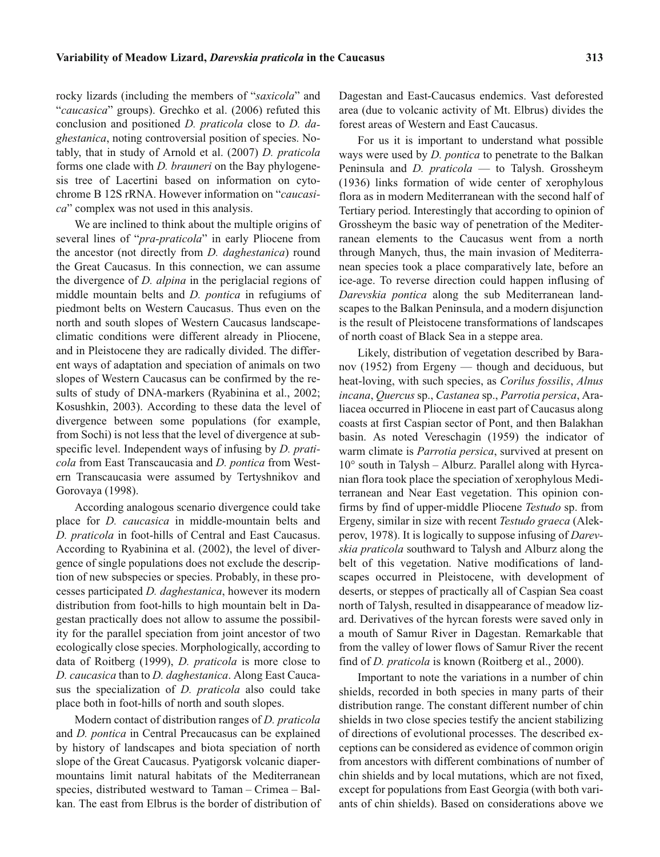rocky lizards (including the members of "*saxicola*" and "*caucasica*" groups). Grechko et al. (2006) refuted this conclusion and positioned *D. praticola* close to *D. daghestanica*, noting controversial position of species. Notably, that in study of Arnold et al. (2007) *D. praticola* forms one clade with *D. brauneri* on the Bay phylogenesis tree of Lacertini based on information on cytochrome B 12S rRNA. However information on "*caucasica*" complex was not used in this analysis.

We are inclined to think about the multiple origins of several lines of "*pra-praticola*" in early Pliocene from the ancestor (not directly from *D. daghestanica*) round the Great Caucasus. In this connection, we can assume the divergence of *D. alpina* in the periglacial regions of middle mountain belts and *D. pontica* in refugiums of piedmont belts on Western Caucasus. Thus even on the north and south slopes of Western Caucasus landscapeclimatic conditions were different already in Pliocene, and in Pleistocene they are radically divided. The different ways of adaptation and speciation of animals on two slopes of Western Caucasus can be confirmed by the results of study of DNA-markers (Ryabinina et al., 2002; Kosushkin, 2003). According to these data the level of divergence between some populations (for example, from Sochi) is not less that the level of divergence at subspecific level. Independent ways of infusing by *D. praticola* from East Transcaucasia and *D. pontica* from Western Transcaucasia were assumed by Tertyshnikov and Gorovaya (1998).

According analogous scenario divergence could take place for *D. caucasica* in middle-mountain belts and *D. praticola* in foot-hills of Central and East Caucasus. According to Ryabinina et al. (2002), the level of divergence of single populations does not exclude the description of new subspecies or species. Probably, in these processes participated *D. daghestanica*, however its modern distribution from foot-hills to high mountain belt in Dagestan practically does not allow to assume the possibility for the parallel speciation from joint ancestor of two ecologically close species. Morphologically, according to data of Roitberg (1999), *D. praticola* is more close to *D. caucasica* than to *D. daghestanica*. Along East Caucasus the specialization of *D. praticola* also could take place both in foot-hills of north and south slopes.

Modern contact of distribution ranges of *D. praticola* and *D. pontica* in Central Precaucasus can be explained by history of landscapes and biota speciation of north slope of the Great Caucasus. Pyatigorsk volcanic diapermountains limit natural habitats of the Mediterranean species, distributed westward to Taman – Crimea – Balkan. The east from Elbrus is the border of distribution of Dagestan and East-Caucasus endemics. Vast deforested area (due to volcanic activity of Mt. Elbrus) divides the forest areas of Western and East Caucasus.

For us it is important to understand what possible ways were used by *D. pontica* to penetrate to the Balkan Peninsula and *D. praticola* — to Talysh. Grossheym (1936) links formation of wide center of xerophylous flora as in modern Mediterranean with the second half of Tertiary period. Interestingly that according to opinion of Grossheym the basic way of penetration of the Mediterranean elements to the Caucasus went from a north through Manych, thus, the main invasion of Mediterranean species took a place comparatively late, before an ice-age. To reverse direction could happen influsing of *Darevskia pontica* along the sub Mediterranean landscapes to the Balkan Peninsula, and a modern disjunction is the result of Pleistocene transformations of landscapes of north coast of Black Sea in a steppe area.

Likely, distribution of vegetation described by Baranov (1952) from Ergeny — though and deciduous, but heat-loving, with such species, as *Corilus fossilis*, *Alnus incana*, *Quercus* sp., *Castanea* sp., *Parrotia persica*, Araliacea occurred in Pliocene in east part of Caucasus along coasts at first Caspian sector of Pont, and then Balakhan basin. As noted Vereschagin (1959) the indicator of warm climate is *Parrotia persica*, survived at present on  $10^{\circ}$  south in Talysh – Alburz. Parallel along with Hyrcanian flora took place the speciation of xerophylous Mediterranean and Near East vegetation. This opinion confirms by find of upper-middle Pliocene *Testudo* sp. from Ergeny, similar in size with recent *Testudo graeca* (Alekperov, 1978). It is logically to suppose infusing of *Darevskia praticola* southward to Talysh and Alburz along the belt of this vegetation. Native modifications of landscapes occurred in Pleistocene, with development of deserts, or steppes of practically all of Caspian Sea coast north of Talysh, resulted in disappearance of meadow lizard. Derivatives of the hyrcan forests were saved only in a mouth of Samur River in Dagestan. Remarkable that from the valley of lower flows of Samur River the recent find of *D. praticola* is known (Roitberg et al., 2000).

Important to note the variations in a number of chin shields, recorded in both species in many parts of their distribution range. The constant different number of chin shields in two close species testify the ancient stabilizing of directions of evolutional processes. The described exceptions can be considered as evidence of common origin from ancestors with different combinations of number of chin shields and by local mutations, which are not fixed, except for populations from East Georgia (with both variants of chin shields). Based on considerations above we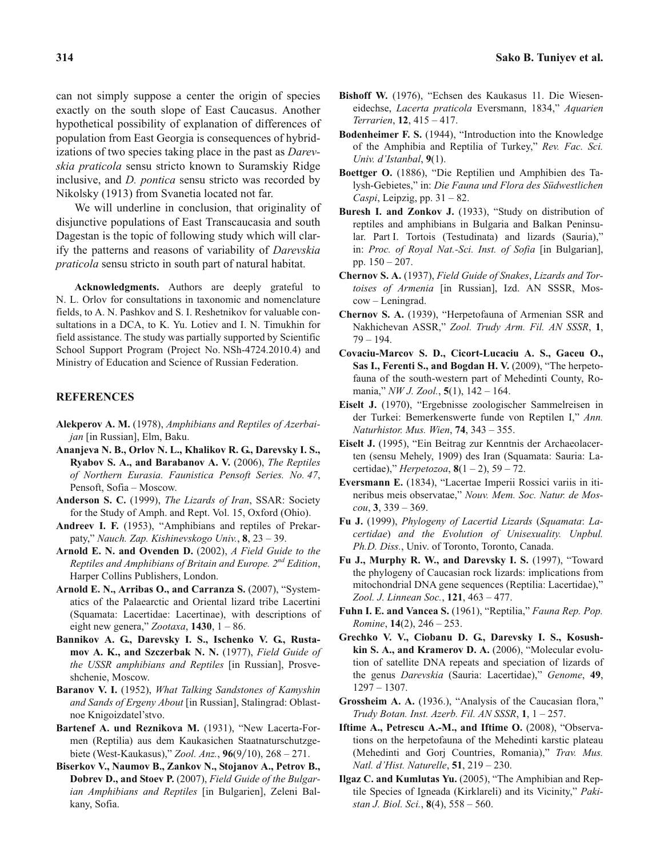can not simply suppose a center the origin of species exactly on the south slope of East Caucasus. Another hypothetical possibility of explanation of differences of population from East Georgia is consequences of hybridizations of two species taking place in the past as *Darevskia praticola* sensu stricto known to Suramskiy Ridge inclusive, and *D. pontica* sensu stricto was recorded by Nikolsky (1913) from Svanetia located not far.

We will underline in conclusion, that originality of disjunctive populations of East Transcaucasia and south Dagestan is the topic of following study which will clarify the patterns and reasons of variability of *Darevskia praticola* sensu stricto in south part of natural habitat.

**Acknowledgments.** Authors are deeply grateful to N. L. Orlov for consultations in taxonomic and nomenclature fields, to A. N. Pashkov and S. I. Reshetnikov for valuable consultations in a DCA, to K. Yu. Lotiev and I. N. Timukhin for field assistance. The study was partially supported by Scientific School Support Program (Project No. NSh-4724.2010.4) and Ministry of Education and Science of Russian Federation.

## **REFERENCES**

- **Alekperov A. M.** (1978), *Amphibians and Reptiles of Azerbaijan* [in Russian], Elm, Baku.
- **Ananjeva N. B., Orlov N. L., Khalikov R. G., Darevsky I. S., Ryabov S. A., and Barabanov A. V.** (2006), *The Reptiles of Northern Eurasia. Faunistica Pensoft Series. No. 47*, Pensoft, Sofia – Moscow.
- **Anderson S. C.** (1999), *The Lizards of Iran*, SSAR: Society for the Study of Amph. and Rept. Vol. 15, Oxford (Ohio).
- **Andreev I. F.** (1953), "Amphibians and reptiles of Prekarpaty," *Nauch. Zap. Kishinevskogo Univ.*, **8**, 23 – 39.
- **Arnold E. N. and Ovenden D.** (2002), *A Field Guide to the Reptiles and Amphibians of Britain and Europe. 2nd Edition*, Harper Collins Publishers, London.
- **Arnold E. N., Arribas O., and Carranza S.** (2007), "Systematics of the Palaearctic and Oriental lizard tribe Lacertini (Squamata: Lacertidae: Lacertinae), with descriptions of eight new genera," *Zootaxa*, **1430**, 1 – 86.
- **Bannikov A. G., Darevsky I. S., Ischenko V. G., Rustamov A. K., and Szczerbak N. N.** (1977), *Field Guide of the USSR amphibians and Reptiles* [in Russian], Prosveshchenie, Moscow.
- **Baranov V. I.** (1952), *What Talking Sandstones of Kamyshin and Sands of Ergeny About* [in Russian], Stalingrad: Oblastnoe Knigoizdatel'stvo.
- **Bartenef A. und Reznikova M.** (1931), "New Lacerta-Formen (Reptilia) aus dem Kaukasichen Staatnaturschutzgebiete (West-Kaukasus)," *Zool. Anz.*, **96**(9/10), 268 – 271.
- **Biserkov V., Naumov B., Zankov N., Stojanov A., Petrov B., Dobrev D., and Stoev P.** (2007), *Field Guide of the Bulgarian Amphibians and Reptiles* [in Bulgarien], Zeleni Balkany, Sofia.
- **Bishoff W.** (1976), "Echsen des Kaukasus 11. Die Wieseneidechse, *Lacerta praticola* Eversmann, 1834," *Aquarien Terrarien*, **12**, 415 – 417.
- **Bodenheimer F. S.** (1944), "Introduction into the Knowledge of the Amphibia and Reptilia of Turkey," *Rev. Fac. Sci. Univ. d'Istanbal*, **9**(1).
- **Boettger O.** (1886), "Die Reptilien und Amphibien des Talysh-Gebietes," in: *Die Fauna und Flora des Südwestlichen Caspi*, Leipzig, pp. 31 – 82.
- **Buresh I. and Zonkov J.** (1933), "Study on distribution of reptiles and amphibians in Bulgaria and Balkan Peninsular. Part I. Tortois (Testudinata) and lizards (Sauria)," in: *Proc. of Royal Nat.-Sci. Inst. of Sofia* [in Bulgarian], pp. 150 – 207.
- **Chernov S. A.** (1937), *Field Guide of Snakes*, *Lizards and Tortoises of Armenia* [in Russian], Izd. AN SSSR, Moscow – Leningrad.
- **Chernov S. A.** (1939), "Herpetofauna of Armenian SSR and Nakhichevan ASSR," *Zool. Trudy Arm. Fil. AN SSSR*, **1**,  $79 - 194.$
- **Covaciu-Marcov S. D., Cicort-Lucaciu A. S., Gaceu O., Sas I., Ferenti S., and Bogdan H. V.** (2009), "The herpetofauna of the south-western part of Mehedinti County, Romania," *NW J. Zool.*, **5**(1), 142 – 164.
- **Eiselt J.** (1970), "Ergebnisse zoologischer Sammelreisen in der Turkei: Bemerkenswerte funde von Reptilen I," *Ann. Naturhistor. Mus. Wien*, **74**, 343 – 355.
- **Eiselt J.** (1995), "Ein Beitrag zur Kenntnis der Archaeolacerten (sensu Mehely, 1909) des Iran (Squamata: Sauria: Lacertidae)," *Herpetozoa*, **8**(1 – 2), 59 – 72.
- **Eversmann E.** (1834), "Lacertae Imperii Rossici variis in itineribus meis observatae," *Nouv. Mem. Soc. Natur. de Moscou*, **3**, 339 – 369.
- **Fu J.** (1999), *Phylogeny of Lacertid Lizards* (*Squamata*: *Lacertidae*) *and the Evolution of Unisexuality. Unpbul. Ph.D. Diss.*, Univ. of Toronto, Toronto, Canada.
- **Fu J., Murphy R. W., and Darevsky I. S.** (1997), "Toward the phylogeny of Caucasian rock lizards: implications from mitochondrial DNA gene sequences (Reptilia: Lacertidae)," *Zool. J. Linnean Soc.*, **121**, 463 – 477.
- **Fuhn I. E. and Vancea S.** (1961), "Reptilia," *Fauna Rep. Pop. Romine*, **14**(2), 246 – 253.
- **Grechko V. V., Ciobanu D. G., Darevsky I. S., Kosushkin S. A., and Kramerov D. A.** (2006), "Molecular evolution of satellite DNA repeats and speciation of lizards of the genus *Darevskia* (Sauria: Lacertidae)," *Genome*, **49**, 1297 – 1307.
- **Grossheim A. A.** (1936.), "Analysis of the Caucasian flora," *Trudy Botan. Inst. Azerb. Fil. AN SSSR*, **1**, 1 – 257.
- **Iftime A., Petrescu A.-M., and Iftime O.** (2008), "Observations on the herpetofauna of the Mehedinti karstic plateau (Mehedinti and Gorj Countries, Romania)," *Trav. Mus. Natl. d'Hist. Naturelle*, **51**, 219 – 230.
- **Ilgaz C. and Kumlutas Yu.** (2005), "The Amphibian and Reptile Species of Igneada (Kirklareli) and its Vicinity," *Pakistan J. Biol. Sci.*, **8**(4), 558 – 560.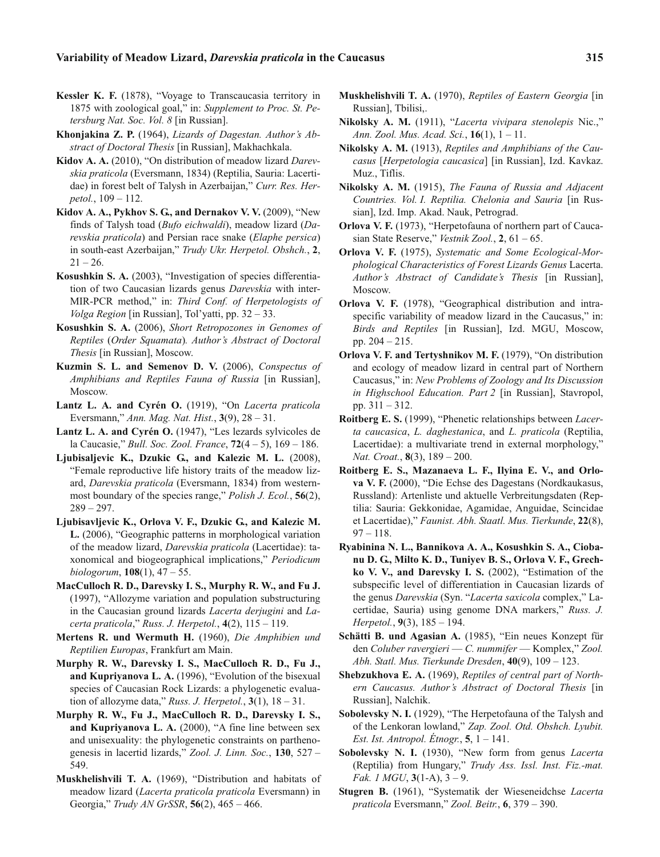- **Kessler K. F.** (1878), "Voyage to Transcaucasia territory in 1875 with zoological goal," in: *Supplement to Proc. St. Petersburg Nat. Soc. Vol. 8* [in Russian].
- **Khonjakina Z. P.** (1964), *Lizards of Dagestan. Author's Abstract of Doctoral Thesis* [in Russian], Makhachkala.
- **Kidov A. A.** (2010), "On distribution of meadow lizard *Darevskia praticola* (Eversmann, 1834) (Reptilia, Sauria: Lacertidae) in forest belt of Talysh in Azerbaijan," *Curr. Res. Herpetol.*, 109 – 112.
- **Kidov A. A., Pykhov S. G., and Dernakov V. V.** (2009), "New finds of Talysh toad (*Bufo eichwaldi*), meadow lizard (*Darevskia praticola*) and Persian race snake (*Elaphe persica*) in south-east Azerbaijan," *Trudy Ukr. Herpetol. Obshch.*, **2**,  $21 - 26.$
- **Kosushkin S. A.** (2003), "Investigation of species differentiation of two Caucasian lizards genus *Darevskia* with inter-MIR-PCR method," in: *Third Conf. of Herpetologists of Volga Region* [in Russian], Tol'yatti, pp. 32 – 33.
- **Kosushkin S. A.** (2006), *Short Retropozones in Genomes of Reptiles* (*Order Squamata*)*. Author's Abstract of Doctoral Thesis* [in Russian], Moscow.
- **Kuzmin S. L. and Semenov D. V.** (2006), *Conspectus of Amphibians and Reptiles Fauna of Russia* [in Russian], Moscow.
- **Lantz L. A. and Cyrén O.** (1919), "On *Lacerta praticola* Eversmann," *Ann. Mag. Nat. Hist.*, **3**(9), 28 – 31.
- **Lantz L. A. and Cyrén O.** (1947), "Les lezards sylvicoles de la Caucasie," *Bull. Soc. Zool. France*, **72**(4 – 5), 169 – 186.
- **Ljubisaljevic K., Dzukic G., and Kalezic M. L.** (2008), "Female reproductive life history traits of the meadow lizard, *Darevskia praticola* (Eversmann, 1834) from westernmost boundary of the species range," *Polish J. Ecol.*, **56**(2),  $289 - 297.$
- **Ljubisavljevic K., Orlova V. F., Dzukic G., and Kalezic M. L.** (2006), "Geographic patterns in morphological variation of the meadow lizard, *Darevskia praticola* (Lacertidae): taxonomical and biogeographical implications," *Periodicum biologorum*, **108**(1), 47 – 55.
- **MacCulloch R. D., Darevsky I. S., Murphy R. W., and Fu J.** (1997), "Allozyme variation and population substructuring in the Caucasian ground lizards *Lacerta derjugini* and *Lacerta praticola*," *Russ. J. Herpetol.*, **4**(2), 115 – 119.
- **Mertens R. und Wermuth H.** (1960), *Die Amphibien und Reptilien Europas*, Frankfurt am Main.
- **Murphy R. W., Darevsky I. S., MacCulloch R. D., Fu J., and Kupriyanova L. A.** (1996), "Evolution of the bisexual species of Caucasian Rock Lizards: a phylogenetic evaluation of allozyme data," *Russ. J. Herpetol.*, **3**(1), 18 – 31.
- **Murphy R. W., Fu J., MacCulloch R. D., Darevsky I. S., and Kupriyanova L. A.** (2000), "A fine line between sex and unisexuality: the phylogenetic constraints on parthenogenesis in lacertid lizards," *Zool. J. Linn. Soc.*, **130**, 527 – 549.
- **Muskhelishvili T. A.** (1969), "Distribution and habitats of meadow lizard (*Lacerta praticola praticola* Eversmann) in Georgia," *Trudy AN GrSSR*, **56**(2), 465 – 466.
- **Muskhelishvili T. A.** (1970), *Reptiles of Eastern Georgia* [in Russian], Tbilisi,.
- **Nikolsky A. M.** (1911), "*Lacerta vivipara stenolepis* Nic.," *Ann. Zool. Mus. Acad. Sci.*, **16**(1), 1 – 11.
- **Nikolsky A. M.** (1913), *Reptiles and Amphibians of the Caucasus* [*Herpetologia caucasica*] [in Russian], Izd. Kavkaz. Muz., Tiflis.
- **Nikolsky A. M.** (1915), *The Fauna of Russia and Adjacent Countries. Vol. I. Reptilia. Chelonia and Sauria* [in Russian], Izd. Imp. Akad. Nauk, Petrograd.
- **Orlova V. F.** (1973), "Herpetofauna of northern part of Caucasian State Reserve," *Vestnik Zool.*, **2**, 61 – 65.
- **Orlova V. F.** (1975), *Systematic and Some Ecological-Morphological Characteristics of Forest Lizards Genus* Lacerta. *Author's Abstract of Candidate's Thesis* [in Russian], Moscow.
- **Orlova V. F.** (1978), "Geographical distribution and intraspecific variability of meadow lizard in the Caucasus," in: *Birds and Reptiles* [in Russian], Izd. MGU, Moscow, pp. 204 – 215.
- **Orlova V. F. and Tertyshnikov M. F.** (1979), "On distribution and ecology of meadow lizard in central part of Northern Caucasus," in: *New Problems of Zoology and Its Discussion in Highschool Education. Part 2* [in Russian], Stavropol, pp. 311 – 312.
- **Roitberg E. S.** (1999), "Phenetic relationships between *Lacerta caucasica*, *L. daghestanica*, and *L. praticola* (Reptilia, Lacertidae): a multivariate trend in external morphology," *Nat. Croat.*, **8**(3), 189 – 200.
- **Roitberg E. S., Mazanaeva L. F., Ilyina E. V., and Orlova V. F.** (2000), "Die Echse des Dagestans (Nordkaukasus, Russland): Artenliste und aktuelle Verbreitungsdaten (Reptilia: Sauria: Gekkonidae, Agamidae, Anguidae, Scincidae et Lacertidae)," *Faunist. Abh. Staatl. Mus. Tierkunde*, **22**(8),  $97 - 118.$
- **Ryabinina N. L., Bannikova A. A., Kosushkin S. A., Ciobanu D. G., Milto K. D., Tuniyev B. S., Orlova V. F., Grechko V. V., and Darevsky I. S.** (2002), "Estimation of the subspecific level of differentiation in Caucasian lizards of the genus *Darevskia* (Syn. "*Lacerta saxicola* complex," Lacertidae, Sauria) using genome DNA markers," *Russ. J. Herpetol.*, **9**(3), 185 – 194.
- **Schätti B. und Agasian A.** (1985), "Ein neues Konzept für den *Coluber ravergieri* — *C. nummifer* — Komplex," *Zool. Abh. Statl. Mus. Tierkunde Dresden*, **40**(9), 109 – 123.
- **Shebzukhova E. A.** (1969), *Reptiles of central part of Northern Caucasus. Author's Abstract of Doctoral Thesis* [in Russian], Nalchik.
- **Sobolevsky N. I.** (1929), "The Herpetofauna of the Talysh and of the Lenkoran lowland," *Zap. Zool. Otd. Obshch. Lyubit. Est. Ist. Antropol. Étnogr.*, **5**, 1 – 141.
- **Sobolevsky N. I.** (1930), "New form from genus *Lacerta* (Reptilia) from Hungary," *Trudy Ass. Issl. Inst. Fiz.-mat. Fak. 1 MGU*, **3**(1-A), 3 – 9.
- **Stugren B.** (1961), "Systematik der Wieseneidchse *Lacerta praticola* Eversmann," *Zool. Beitr.*, **6**, 379 – 390.